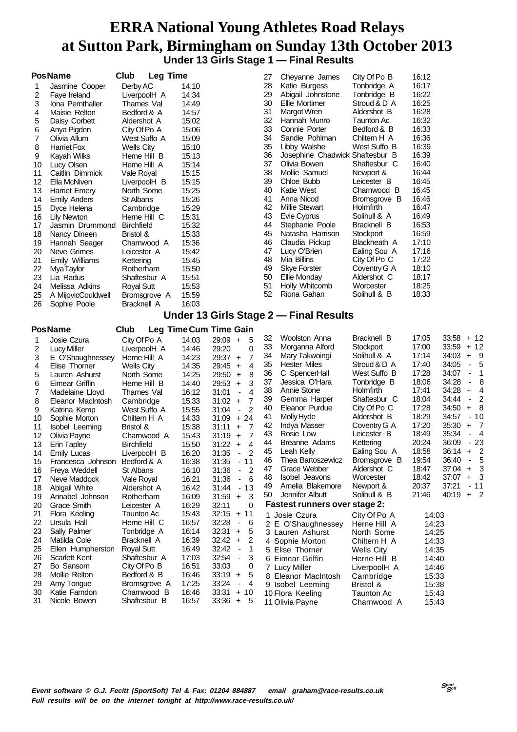### **ERRA National Young Athletes Road Relays at Sutton Park, Birmingham on Sunday 13th October 2013 Under 13 Girls Stage 1 — Final Results**

| <b>PosName</b><br>Club<br><b>Leg Time</b><br>City Of Po B<br>27<br>Cheyanne James<br>16:12<br>28<br>Tonbridge A<br>16:17<br>Derby AC<br>Katie Burgess<br>14:10<br>1<br>Jasmine Cooper<br>29<br>16:22<br>Abigail Johnstone<br>Tonbridge B<br>14:34<br>2<br>Faye Ireland<br>LiverpoolH A<br>30<br>Ellie Mortimer<br>16:25<br>Stroud & D A<br>3<br>Iona Pernthaller<br>Thames Val<br>14:49<br>16:28<br>31<br>14:57<br>Margot Wren<br>Aldershot B<br>Maisie Relton<br>Bedford & A<br>4<br>32<br>16:32<br>Hannah Munro<br><b>Taunton Ac</b><br>15:02<br>5<br>Daisy Corbett<br>Aldershot A<br>33<br>16:33<br>Connie Porter<br>Bedford & B<br>15:06<br>6<br>Anya Pigden<br>City Of Po A<br>34<br>16:36<br>Sandie Pohlman<br>Chiltern H A<br>7<br>West Suffo A<br>15:09<br>Olivia Allum<br>35<br>16:39<br>Libby Walshe<br>West Suffo B<br>15:10<br>8<br><b>Harriet Fox</b><br><b>Wells City</b><br>36<br>16:39<br>Josephine Chadwick Shaftesbur B<br>15:13<br>9<br>Kayah Wilks<br>Herne Hill B<br>37<br>Olivia Bowen<br>16:40<br>15:14<br>Shaftesbur C<br>Lucy Olsen<br>Herne Hill A<br>10<br>16:44<br>38<br>Mollie Samuel<br>15:15<br>Newport &<br>11<br>Caitlin Dimmick<br>Vale Royal<br>39<br>16:45<br>Chloe Bubb<br>Leicester B<br>12<br>Ella McNiven<br>15:15<br>LiverpoolH B<br>40<br>Katie West<br>16:45<br>15:25<br>Charnwood B<br>13<br>North Some<br><b>Harriet Emery</b><br>15:26<br>41<br>16:46<br>Anna Nicod<br>Bromsgrove B<br>14<br><b>Emily Anders</b><br>St Albans<br>42<br><b>Millie Stewart</b><br>16:47<br>15:29<br>Holmfirth<br>15<br>Cambridge<br>Dyce Helena<br>43<br>Evie Cyprus<br>16:49<br>15:31<br>Solihull & A<br>Herne Hill C<br>16<br>Lily Newton<br>16:53<br>15:32<br>44<br>Stephanie Poole<br>Bracknell B<br>17<br>Jasmin Drummond<br><b>Birchfield</b><br>16:59<br>15:33<br>45<br>Natasha Harrison<br>Stockport<br>18<br>Nancy Dineen<br>Bristol &<br>17:10<br>15:36<br>46<br>Claudia Pickup<br>Blackheath A<br>19<br>Hannah Seager<br>Charnwood A<br>17:16<br>47<br>Lucy O'Brien<br>15:42<br>Ealing Sou A<br>20<br>Neve Grimes<br>Leicester A<br>17:22<br>Mia Billins<br>48<br>City Of Po C<br>21<br>Emily Williams<br>15:45<br>Kettering<br><b>Skye Forster</b><br>18:10<br>15:50<br>49<br>Coventry G A<br>22<br><b>MyaTaylor</b><br>Rotherham<br>50<br>18:17<br>23<br>15:51<br><b>Ellie Monday</b><br>Aldershot C<br>Lia Radus<br>Shaftesbur A<br>51<br>Holly Whitcomb<br>18:25<br>Worcester<br>15:53<br>24<br>Melissa Adkins<br><b>Royal Sutt</b><br>18:33<br>52<br>Riona Gahan<br>Solihull & B<br>15:59<br>25<br>A MijovicCouldwell<br>Bromsgrove A<br>16:03<br>26<br>Sophie Poole<br><b>Bracknell A</b><br>Under 13 Girls Stage 2 - Final Results<br><b>Leg Time Cum Time Gain</b><br>Club<br><b>Woolston Anna</b><br>Bracknell B<br>17:05<br>32<br>Josie Czura<br>City Of Po A<br>14:03<br>$29:09 +$<br>5<br>1<br>33<br>17:00<br>Morganna Alford<br>Stockport<br>2<br>29:20<br>0<br><b>Lucy Miller</b><br>LiverpoolH A<br>14:46<br>17:14<br>34<br>Mary Takwoingi<br>Solihull & A<br>7<br>3<br>Herne Hill A<br>14:23<br>$29:37 +$<br>E O'Shaughnessey<br>35<br>17:40<br><b>Hester Miles</b><br>Stroud & D A<br>4<br>14:35<br>29:45<br>4<br>Elise Thorner<br><b>Wells City</b><br>$\ddot{}$<br>36<br>17:28<br>C SpencerHall<br>West Suffo B<br>5<br>14:25<br>29:50<br>8<br>Lauren Ashurst<br>North Some<br>$\ddot{}$<br>37<br>18:06<br>Jessica O'Hara<br>Tonbridge B<br>6<br>Herne Hill B<br>14:40<br>29:53<br>3<br>Eimear Griffin<br>$+$<br>38<br>Annie Stone<br>17:41<br>Holmfirth<br>$\overline{4}$<br>Thames Val<br>16:12<br>31:01<br>7<br>Madelaine Lloyd<br>$\blacksquare$<br>39<br>18:04<br>Gemma Harper<br>Shaftesbur C<br>15:33<br>$31:02 +$<br>7<br>8<br>Eleanor MacIntosh<br>Cambridge<br>17:28<br>40<br>Eleanor Purdue<br>City Of Po C<br>$\overline{2}$<br>9<br>West Suffo A<br>15:55<br>31:04<br>Katrina Kemp<br>$\blacksquare$<br>18:29<br>41<br>Molly Hyde<br>Aldershot B<br>$31:09 + 24$<br>14:33<br>10<br>Sophie Morton<br>Chiltern H A<br>17:20<br>42<br>Indya Masser<br>Coventry G A<br>15:38<br>7<br>11<br><b>Isobel Leeming</b><br>Bristol &<br>31:11<br>$+$<br>Rosie Low<br>18:49<br>43<br>Leicester B<br>7<br>15:43<br>31:19<br>12<br>Olivia Payne<br>Charnwood A<br>$\ddot{}$<br>20:24<br>44<br>Breanne Adams<br>Kettering<br>13<br>15:50<br>$31:22 +$<br>4<br><b>Erin Tapley</b><br><b>Birchfield</b><br>18:58<br>45<br>Leah Kelly<br>Ealing Sou A<br>16:20<br>31:35<br>$\overline{2}$<br>14<br>LiverpoolH B<br><b>Emily Lucas</b><br>19:54<br>Thea Bartoszewicz<br>Bromsgrove B<br>46<br>Francesca Johnson<br>Bedford & A<br>16:38<br>31:35<br>$-11$<br>15<br>Grace Webber<br>47<br>Aldershot C<br>18:47<br>$\overline{c}$<br>Freya Weddell<br>16:10<br>31:36<br>16<br>St Albans<br>$\blacksquare$<br>18:42<br>48<br><b>Isobel Jeavons</b><br>Worcester<br>Neve Maddock<br>16:21<br>31:36<br>6<br>Vale Royal<br>17<br>$\overline{\phantom{a}}$<br>49<br>Amelia Blakemore<br>Newport &<br>20:37<br>31:44<br>$-13$<br>18<br>Abigail White<br>Aldershot A<br>16:42<br>21:46<br>Jennifer Albutt<br>Solihull & B<br>50<br>31:59<br>$\ddot{}$<br>3<br>19<br>Annabel Johnson<br>Rotherham<br>16:09<br><b>Fastest runners over stage 2:</b><br><b>Grace Smith</b><br>16:29<br>32:11<br>0<br>Leicester A<br>20<br>15:43<br>32:15<br>$\ddot{}$<br>11<br>21<br>Flora Keeling<br><b>Taunton Ac</b><br>City Of Po A<br>1 Josie Czura<br>14:03<br>22<br>Ursula Hall<br>16:57<br>32:28<br>Herne Hill C<br>6<br>$\overline{\phantom{a}}$<br>2 E O'Shaughnessey<br>Herne Hill A<br>14:23<br>32:31<br>23<br><b>Sally Palmer</b><br>Tonbridge A<br>16:14<br>5<br>$\ddot{}$<br>North Some<br>14:25<br>3 Lauren Ashurst<br>Matilda Cole<br>Bracknell A<br>16:39<br>32:42<br>2<br>24<br>$\ddot{}$<br>4 Sophie Morton<br>Chiltern H A<br>14:33<br>32:42<br>25<br>Ellen Humpherston<br><b>Royal Sutt</b><br>16:49<br>1<br>$\qquad \qquad \blacksquare$<br>5 Elise Thorner<br>14:35<br><b>Wells City</b><br>17:03<br>32:54<br><b>Scarlett Kent</b><br>Shaftesbur A<br>3<br>26<br>$\overline{\phantom{a}}$<br>6 Eimear Griffin<br>Herne Hill B<br>14:40<br>Bo Sansom<br>City Of Po B<br>16:51<br>33:03<br>27<br>0<br>7 Lucy Miller<br>LiverpoolH A<br>14:46<br>Mollie Relton<br>$33:19 +$<br>28<br>Bedford & B<br>16:46<br>5<br>8 Eleanor MacIntosh<br>Cambridge<br>15:33<br>15:38 |    |            |              |       |            |                  |           |                                                     |
|-------------------------------------------------------------------------------------------------------------------------------------------------------------------------------------------------------------------------------------------------------------------------------------------------------------------------------------------------------------------------------------------------------------------------------------------------------------------------------------------------------------------------------------------------------------------------------------------------------------------------------------------------------------------------------------------------------------------------------------------------------------------------------------------------------------------------------------------------------------------------------------------------------------------------------------------------------------------------------------------------------------------------------------------------------------------------------------------------------------------------------------------------------------------------------------------------------------------------------------------------------------------------------------------------------------------------------------------------------------------------------------------------------------------------------------------------------------------------------------------------------------------------------------------------------------------------------------------------------------------------------------------------------------------------------------------------------------------------------------------------------------------------------------------------------------------------------------------------------------------------------------------------------------------------------------------------------------------------------------------------------------------------------------------------------------------------------------------------------------------------------------------------------------------------------------------------------------------------------------------------------------------------------------------------------------------------------------------------------------------------------------------------------------------------------------------------------------------------------------------------------------------------------------------------------------------------------------------------------------------------------------------------------------------------------------------------------------------------------------------------------------------------------------------------------------------------------------------------------------------------------------------------------------------------------------------------------------------------------------------------------------------------------------------------------------------------------------------------------------------------------------------------------------------------------------------------------------------------------------------------------------------------------------------------------------------------------------------------------------------------------------------------------------------------------------------------------------------------------------------------------------------------------------------------------------------------------------------------------------------------------------------------------------------------------------------------------------------------------------------------------------------------------------------------------------------------------------------------------------------------------------------------------------------------------------------------------------------------------------------------------------------------------------------------------------------------------------------------------------------------------------------------------------------------------------------------------------------------------------------------------------------------------------------------------------------------------------------------------------------------------------------------------------------------------------------------------------------------------------------------------------------------------------------------------------------------------------------------------------------------------------------------------------------------------------------------------------------------------------------------------------------------------------------------------------------------------------------------------------------------------------------------------------------------------------------------------------------------------------------------------------------------------------------------------------------------------------------------------------------------------------------------------------------------------------------------------------------------------------------------------------------------------------------------------------------------------------------------------------------------------------------------------------------------------------------------------------------------------------------------------------------------------------------------------------------------------------------------------------------------------------------------------------------------------------------------------------------------------------------------------------------------------------------------------------------------------------------------------------------------------------------------------------------------------------------------------------------------------------------------------------------------------------------------------------------------------------------------------------------------------------------------------------------------------------------------------------------------------------------------------------------------------------------------------------------|----|------------|--------------|-------|------------|------------------|-----------|-----------------------------------------------------|
| <b>PosName</b>                                                                                                                                                                                                                                                                                                                                                                                                                                                                                                                                                                                                                                                                                                                                                                                                                                                                                                                                                                                                                                                                                                                                                                                                                                                                                                                                                                                                                                                                                                                                                                                                                                                                                                                                                                                                                                                                                                                                                                                                                                                                                                                                                                                                                                                                                                                                                                                                                                                                                                                                                                                                                                                                                                                                                                                                                                                                                                                                                                                                                                                                                                                                                                                                                                                                                                                                                                                                                                                                                                                                                                                                                                                                                                                                                                                                                                                                                                                                                                                                                                                                                                                                                                                                                                                                                                                                                                                                                                                                                                                                                                                                                                                                                                                                                                                                                                                                                                                                                                                                                                                                                                                                                                                                                                                                                                                                                                                                                                                                                                                                                                                                                                                                                                                                                                                                                                                                                                                                                                                                                                                                                                                                                                                                                                                                                                    |    |            |              |       |            |                  |           |                                                     |
|                                                                                                                                                                                                                                                                                                                                                                                                                                                                                                                                                                                                                                                                                                                                                                                                                                                                                                                                                                                                                                                                                                                                                                                                                                                                                                                                                                                                                                                                                                                                                                                                                                                                                                                                                                                                                                                                                                                                                                                                                                                                                                                                                                                                                                                                                                                                                                                                                                                                                                                                                                                                                                                                                                                                                                                                                                                                                                                                                                                                                                                                                                                                                                                                                                                                                                                                                                                                                                                                                                                                                                                                                                                                                                                                                                                                                                                                                                                                                                                                                                                                                                                                                                                                                                                                                                                                                                                                                                                                                                                                                                                                                                                                                                                                                                                                                                                                                                                                                                                                                                                                                                                                                                                                                                                                                                                                                                                                                                                                                                                                                                                                                                                                                                                                                                                                                                                                                                                                                                                                                                                                                                                                                                                                                                                                                                                   |    |            |              |       |            |                  |           |                                                     |
|                                                                                                                                                                                                                                                                                                                                                                                                                                                                                                                                                                                                                                                                                                                                                                                                                                                                                                                                                                                                                                                                                                                                                                                                                                                                                                                                                                                                                                                                                                                                                                                                                                                                                                                                                                                                                                                                                                                                                                                                                                                                                                                                                                                                                                                                                                                                                                                                                                                                                                                                                                                                                                                                                                                                                                                                                                                                                                                                                                                                                                                                                                                                                                                                                                                                                                                                                                                                                                                                                                                                                                                                                                                                                                                                                                                                                                                                                                                                                                                                                                                                                                                                                                                                                                                                                                                                                                                                                                                                                                                                                                                                                                                                                                                                                                                                                                                                                                                                                                                                                                                                                                                                                                                                                                                                                                                                                                                                                                                                                                                                                                                                                                                                                                                                                                                                                                                                                                                                                                                                                                                                                                                                                                                                                                                                                                                   |    |            |              |       |            |                  |           |                                                     |
|                                                                                                                                                                                                                                                                                                                                                                                                                                                                                                                                                                                                                                                                                                                                                                                                                                                                                                                                                                                                                                                                                                                                                                                                                                                                                                                                                                                                                                                                                                                                                                                                                                                                                                                                                                                                                                                                                                                                                                                                                                                                                                                                                                                                                                                                                                                                                                                                                                                                                                                                                                                                                                                                                                                                                                                                                                                                                                                                                                                                                                                                                                                                                                                                                                                                                                                                                                                                                                                                                                                                                                                                                                                                                                                                                                                                                                                                                                                                                                                                                                                                                                                                                                                                                                                                                                                                                                                                                                                                                                                                                                                                                                                                                                                                                                                                                                                                                                                                                                                                                                                                                                                                                                                                                                                                                                                                                                                                                                                                                                                                                                                                                                                                                                                                                                                                                                                                                                                                                                                                                                                                                                                                                                                                                                                                                                                   |    |            |              |       |            |                  |           |                                                     |
|                                                                                                                                                                                                                                                                                                                                                                                                                                                                                                                                                                                                                                                                                                                                                                                                                                                                                                                                                                                                                                                                                                                                                                                                                                                                                                                                                                                                                                                                                                                                                                                                                                                                                                                                                                                                                                                                                                                                                                                                                                                                                                                                                                                                                                                                                                                                                                                                                                                                                                                                                                                                                                                                                                                                                                                                                                                                                                                                                                                                                                                                                                                                                                                                                                                                                                                                                                                                                                                                                                                                                                                                                                                                                                                                                                                                                                                                                                                                                                                                                                                                                                                                                                                                                                                                                                                                                                                                                                                                                                                                                                                                                                                                                                                                                                                                                                                                                                                                                                                                                                                                                                                                                                                                                                                                                                                                                                                                                                                                                                                                                                                                                                                                                                                                                                                                                                                                                                                                                                                                                                                                                                                                                                                                                                                                                                                   |    |            |              |       |            |                  |           |                                                     |
|                                                                                                                                                                                                                                                                                                                                                                                                                                                                                                                                                                                                                                                                                                                                                                                                                                                                                                                                                                                                                                                                                                                                                                                                                                                                                                                                                                                                                                                                                                                                                                                                                                                                                                                                                                                                                                                                                                                                                                                                                                                                                                                                                                                                                                                                                                                                                                                                                                                                                                                                                                                                                                                                                                                                                                                                                                                                                                                                                                                                                                                                                                                                                                                                                                                                                                                                                                                                                                                                                                                                                                                                                                                                                                                                                                                                                                                                                                                                                                                                                                                                                                                                                                                                                                                                                                                                                                                                                                                                                                                                                                                                                                                                                                                                                                                                                                                                                                                                                                                                                                                                                                                                                                                                                                                                                                                                                                                                                                                                                                                                                                                                                                                                                                                                                                                                                                                                                                                                                                                                                                                                                                                                                                                                                                                                                                                   |    |            |              |       |            |                  |           |                                                     |
|                                                                                                                                                                                                                                                                                                                                                                                                                                                                                                                                                                                                                                                                                                                                                                                                                                                                                                                                                                                                                                                                                                                                                                                                                                                                                                                                                                                                                                                                                                                                                                                                                                                                                                                                                                                                                                                                                                                                                                                                                                                                                                                                                                                                                                                                                                                                                                                                                                                                                                                                                                                                                                                                                                                                                                                                                                                                                                                                                                                                                                                                                                                                                                                                                                                                                                                                                                                                                                                                                                                                                                                                                                                                                                                                                                                                                                                                                                                                                                                                                                                                                                                                                                                                                                                                                                                                                                                                                                                                                                                                                                                                                                                                                                                                                                                                                                                                                                                                                                                                                                                                                                                                                                                                                                                                                                                                                                                                                                                                                                                                                                                                                                                                                                                                                                                                                                                                                                                                                                                                                                                                                                                                                                                                                                                                                                                   |    |            |              |       |            |                  |           |                                                     |
|                                                                                                                                                                                                                                                                                                                                                                                                                                                                                                                                                                                                                                                                                                                                                                                                                                                                                                                                                                                                                                                                                                                                                                                                                                                                                                                                                                                                                                                                                                                                                                                                                                                                                                                                                                                                                                                                                                                                                                                                                                                                                                                                                                                                                                                                                                                                                                                                                                                                                                                                                                                                                                                                                                                                                                                                                                                                                                                                                                                                                                                                                                                                                                                                                                                                                                                                                                                                                                                                                                                                                                                                                                                                                                                                                                                                                                                                                                                                                                                                                                                                                                                                                                                                                                                                                                                                                                                                                                                                                                                                                                                                                                                                                                                                                                                                                                                                                                                                                                                                                                                                                                                                                                                                                                                                                                                                                                                                                                                                                                                                                                                                                                                                                                                                                                                                                                                                                                                                                                                                                                                                                                                                                                                                                                                                                                                   |    |            |              |       |            |                  |           |                                                     |
|                                                                                                                                                                                                                                                                                                                                                                                                                                                                                                                                                                                                                                                                                                                                                                                                                                                                                                                                                                                                                                                                                                                                                                                                                                                                                                                                                                                                                                                                                                                                                                                                                                                                                                                                                                                                                                                                                                                                                                                                                                                                                                                                                                                                                                                                                                                                                                                                                                                                                                                                                                                                                                                                                                                                                                                                                                                                                                                                                                                                                                                                                                                                                                                                                                                                                                                                                                                                                                                                                                                                                                                                                                                                                                                                                                                                                                                                                                                                                                                                                                                                                                                                                                                                                                                                                                                                                                                                                                                                                                                                                                                                                                                                                                                                                                                                                                                                                                                                                                                                                                                                                                                                                                                                                                                                                                                                                                                                                                                                                                                                                                                                                                                                                                                                                                                                                                                                                                                                                                                                                                                                                                                                                                                                                                                                                                                   |    |            |              |       |            |                  |           |                                                     |
|                                                                                                                                                                                                                                                                                                                                                                                                                                                                                                                                                                                                                                                                                                                                                                                                                                                                                                                                                                                                                                                                                                                                                                                                                                                                                                                                                                                                                                                                                                                                                                                                                                                                                                                                                                                                                                                                                                                                                                                                                                                                                                                                                                                                                                                                                                                                                                                                                                                                                                                                                                                                                                                                                                                                                                                                                                                                                                                                                                                                                                                                                                                                                                                                                                                                                                                                                                                                                                                                                                                                                                                                                                                                                                                                                                                                                                                                                                                                                                                                                                                                                                                                                                                                                                                                                                                                                                                                                                                                                                                                                                                                                                                                                                                                                                                                                                                                                                                                                                                                                                                                                                                                                                                                                                                                                                                                                                                                                                                                                                                                                                                                                                                                                                                                                                                                                                                                                                                                                                                                                                                                                                                                                                                                                                                                                                                   |    |            |              |       |            |                  |           |                                                     |
|                                                                                                                                                                                                                                                                                                                                                                                                                                                                                                                                                                                                                                                                                                                                                                                                                                                                                                                                                                                                                                                                                                                                                                                                                                                                                                                                                                                                                                                                                                                                                                                                                                                                                                                                                                                                                                                                                                                                                                                                                                                                                                                                                                                                                                                                                                                                                                                                                                                                                                                                                                                                                                                                                                                                                                                                                                                                                                                                                                                                                                                                                                                                                                                                                                                                                                                                                                                                                                                                                                                                                                                                                                                                                                                                                                                                                                                                                                                                                                                                                                                                                                                                                                                                                                                                                                                                                                                                                                                                                                                                                                                                                                                                                                                                                                                                                                                                                                                                                                                                                                                                                                                                                                                                                                                                                                                                                                                                                                                                                                                                                                                                                                                                                                                                                                                                                                                                                                                                                                                                                                                                                                                                                                                                                                                                                                                   |    |            |              |       |            |                  |           |                                                     |
|                                                                                                                                                                                                                                                                                                                                                                                                                                                                                                                                                                                                                                                                                                                                                                                                                                                                                                                                                                                                                                                                                                                                                                                                                                                                                                                                                                                                                                                                                                                                                                                                                                                                                                                                                                                                                                                                                                                                                                                                                                                                                                                                                                                                                                                                                                                                                                                                                                                                                                                                                                                                                                                                                                                                                                                                                                                                                                                                                                                                                                                                                                                                                                                                                                                                                                                                                                                                                                                                                                                                                                                                                                                                                                                                                                                                                                                                                                                                                                                                                                                                                                                                                                                                                                                                                                                                                                                                                                                                                                                                                                                                                                                                                                                                                                                                                                                                                                                                                                                                                                                                                                                                                                                                                                                                                                                                                                                                                                                                                                                                                                                                                                                                                                                                                                                                                                                                                                                                                                                                                                                                                                                                                                                                                                                                                                                   |    |            |              |       |            |                  |           |                                                     |
|                                                                                                                                                                                                                                                                                                                                                                                                                                                                                                                                                                                                                                                                                                                                                                                                                                                                                                                                                                                                                                                                                                                                                                                                                                                                                                                                                                                                                                                                                                                                                                                                                                                                                                                                                                                                                                                                                                                                                                                                                                                                                                                                                                                                                                                                                                                                                                                                                                                                                                                                                                                                                                                                                                                                                                                                                                                                                                                                                                                                                                                                                                                                                                                                                                                                                                                                                                                                                                                                                                                                                                                                                                                                                                                                                                                                                                                                                                                                                                                                                                                                                                                                                                                                                                                                                                                                                                                                                                                                                                                                                                                                                                                                                                                                                                                                                                                                                                                                                                                                                                                                                                                                                                                                                                                                                                                                                                                                                                                                                                                                                                                                                                                                                                                                                                                                                                                                                                                                                                                                                                                                                                                                                                                                                                                                                                                   |    |            |              |       |            |                  |           |                                                     |
|                                                                                                                                                                                                                                                                                                                                                                                                                                                                                                                                                                                                                                                                                                                                                                                                                                                                                                                                                                                                                                                                                                                                                                                                                                                                                                                                                                                                                                                                                                                                                                                                                                                                                                                                                                                                                                                                                                                                                                                                                                                                                                                                                                                                                                                                                                                                                                                                                                                                                                                                                                                                                                                                                                                                                                                                                                                                                                                                                                                                                                                                                                                                                                                                                                                                                                                                                                                                                                                                                                                                                                                                                                                                                                                                                                                                                                                                                                                                                                                                                                                                                                                                                                                                                                                                                                                                                                                                                                                                                                                                                                                                                                                                                                                                                                                                                                                                                                                                                                                                                                                                                                                                                                                                                                                                                                                                                                                                                                                                                                                                                                                                                                                                                                                                                                                                                                                                                                                                                                                                                                                                                                                                                                                                                                                                                                                   |    |            |              |       |            |                  |           |                                                     |
|                                                                                                                                                                                                                                                                                                                                                                                                                                                                                                                                                                                                                                                                                                                                                                                                                                                                                                                                                                                                                                                                                                                                                                                                                                                                                                                                                                                                                                                                                                                                                                                                                                                                                                                                                                                                                                                                                                                                                                                                                                                                                                                                                                                                                                                                                                                                                                                                                                                                                                                                                                                                                                                                                                                                                                                                                                                                                                                                                                                                                                                                                                                                                                                                                                                                                                                                                                                                                                                                                                                                                                                                                                                                                                                                                                                                                                                                                                                                                                                                                                                                                                                                                                                                                                                                                                                                                                                                                                                                                                                                                                                                                                                                                                                                                                                                                                                                                                                                                                                                                                                                                                                                                                                                                                                                                                                                                                                                                                                                                                                                                                                                                                                                                                                                                                                                                                                                                                                                                                                                                                                                                                                                                                                                                                                                                                                   |    |            |              |       |            |                  |           |                                                     |
|                                                                                                                                                                                                                                                                                                                                                                                                                                                                                                                                                                                                                                                                                                                                                                                                                                                                                                                                                                                                                                                                                                                                                                                                                                                                                                                                                                                                                                                                                                                                                                                                                                                                                                                                                                                                                                                                                                                                                                                                                                                                                                                                                                                                                                                                                                                                                                                                                                                                                                                                                                                                                                                                                                                                                                                                                                                                                                                                                                                                                                                                                                                                                                                                                                                                                                                                                                                                                                                                                                                                                                                                                                                                                                                                                                                                                                                                                                                                                                                                                                                                                                                                                                                                                                                                                                                                                                                                                                                                                                                                                                                                                                                                                                                                                                                                                                                                                                                                                                                                                                                                                                                                                                                                                                                                                                                                                                                                                                                                                                                                                                                                                                                                                                                                                                                                                                                                                                                                                                                                                                                                                                                                                                                                                                                                                                                   |    |            |              |       |            |                  |           |                                                     |
|                                                                                                                                                                                                                                                                                                                                                                                                                                                                                                                                                                                                                                                                                                                                                                                                                                                                                                                                                                                                                                                                                                                                                                                                                                                                                                                                                                                                                                                                                                                                                                                                                                                                                                                                                                                                                                                                                                                                                                                                                                                                                                                                                                                                                                                                                                                                                                                                                                                                                                                                                                                                                                                                                                                                                                                                                                                                                                                                                                                                                                                                                                                                                                                                                                                                                                                                                                                                                                                                                                                                                                                                                                                                                                                                                                                                                                                                                                                                                                                                                                                                                                                                                                                                                                                                                                                                                                                                                                                                                                                                                                                                                                                                                                                                                                                                                                                                                                                                                                                                                                                                                                                                                                                                                                                                                                                                                                                                                                                                                                                                                                                                                                                                                                                                                                                                                                                                                                                                                                                                                                                                                                                                                                                                                                                                                                                   |    |            |              |       |            |                  |           |                                                     |
|                                                                                                                                                                                                                                                                                                                                                                                                                                                                                                                                                                                                                                                                                                                                                                                                                                                                                                                                                                                                                                                                                                                                                                                                                                                                                                                                                                                                                                                                                                                                                                                                                                                                                                                                                                                                                                                                                                                                                                                                                                                                                                                                                                                                                                                                                                                                                                                                                                                                                                                                                                                                                                                                                                                                                                                                                                                                                                                                                                                                                                                                                                                                                                                                                                                                                                                                                                                                                                                                                                                                                                                                                                                                                                                                                                                                                                                                                                                                                                                                                                                                                                                                                                                                                                                                                                                                                                                                                                                                                                                                                                                                                                                                                                                                                                                                                                                                                                                                                                                                                                                                                                                                                                                                                                                                                                                                                                                                                                                                                                                                                                                                                                                                                                                                                                                                                                                                                                                                                                                                                                                                                                                                                                                                                                                                                                                   |    |            |              |       |            |                  |           |                                                     |
|                                                                                                                                                                                                                                                                                                                                                                                                                                                                                                                                                                                                                                                                                                                                                                                                                                                                                                                                                                                                                                                                                                                                                                                                                                                                                                                                                                                                                                                                                                                                                                                                                                                                                                                                                                                                                                                                                                                                                                                                                                                                                                                                                                                                                                                                                                                                                                                                                                                                                                                                                                                                                                                                                                                                                                                                                                                                                                                                                                                                                                                                                                                                                                                                                                                                                                                                                                                                                                                                                                                                                                                                                                                                                                                                                                                                                                                                                                                                                                                                                                                                                                                                                                                                                                                                                                                                                                                                                                                                                                                                                                                                                                                                                                                                                                                                                                                                                                                                                                                                                                                                                                                                                                                                                                                                                                                                                                                                                                                                                                                                                                                                                                                                                                                                                                                                                                                                                                                                                                                                                                                                                                                                                                                                                                                                                                                   |    |            |              |       |            |                  |           |                                                     |
|                                                                                                                                                                                                                                                                                                                                                                                                                                                                                                                                                                                                                                                                                                                                                                                                                                                                                                                                                                                                                                                                                                                                                                                                                                                                                                                                                                                                                                                                                                                                                                                                                                                                                                                                                                                                                                                                                                                                                                                                                                                                                                                                                                                                                                                                                                                                                                                                                                                                                                                                                                                                                                                                                                                                                                                                                                                                                                                                                                                                                                                                                                                                                                                                                                                                                                                                                                                                                                                                                                                                                                                                                                                                                                                                                                                                                                                                                                                                                                                                                                                                                                                                                                                                                                                                                                                                                                                                                                                                                                                                                                                                                                                                                                                                                                                                                                                                                                                                                                                                                                                                                                                                                                                                                                                                                                                                                                                                                                                                                                                                                                                                                                                                                                                                                                                                                                                                                                                                                                                                                                                                                                                                                                                                                                                                                                                   |    |            |              |       |            |                  |           |                                                     |
|                                                                                                                                                                                                                                                                                                                                                                                                                                                                                                                                                                                                                                                                                                                                                                                                                                                                                                                                                                                                                                                                                                                                                                                                                                                                                                                                                                                                                                                                                                                                                                                                                                                                                                                                                                                                                                                                                                                                                                                                                                                                                                                                                                                                                                                                                                                                                                                                                                                                                                                                                                                                                                                                                                                                                                                                                                                                                                                                                                                                                                                                                                                                                                                                                                                                                                                                                                                                                                                                                                                                                                                                                                                                                                                                                                                                                                                                                                                                                                                                                                                                                                                                                                                                                                                                                                                                                                                                                                                                                                                                                                                                                                                                                                                                                                                                                                                                                                                                                                                                                                                                                                                                                                                                                                                                                                                                                                                                                                                                                                                                                                                                                                                                                                                                                                                                                                                                                                                                                                                                                                                                                                                                                                                                                                                                                                                   |    |            |              |       |            |                  |           |                                                     |
|                                                                                                                                                                                                                                                                                                                                                                                                                                                                                                                                                                                                                                                                                                                                                                                                                                                                                                                                                                                                                                                                                                                                                                                                                                                                                                                                                                                                                                                                                                                                                                                                                                                                                                                                                                                                                                                                                                                                                                                                                                                                                                                                                                                                                                                                                                                                                                                                                                                                                                                                                                                                                                                                                                                                                                                                                                                                                                                                                                                                                                                                                                                                                                                                                                                                                                                                                                                                                                                                                                                                                                                                                                                                                                                                                                                                                                                                                                                                                                                                                                                                                                                                                                                                                                                                                                                                                                                                                                                                                                                                                                                                                                                                                                                                                                                                                                                                                                                                                                                                                                                                                                                                                                                                                                                                                                                                                                                                                                                                                                                                                                                                                                                                                                                                                                                                                                                                                                                                                                                                                                                                                                                                                                                                                                                                                                                   |    |            |              |       |            |                  |           |                                                     |
|                                                                                                                                                                                                                                                                                                                                                                                                                                                                                                                                                                                                                                                                                                                                                                                                                                                                                                                                                                                                                                                                                                                                                                                                                                                                                                                                                                                                                                                                                                                                                                                                                                                                                                                                                                                                                                                                                                                                                                                                                                                                                                                                                                                                                                                                                                                                                                                                                                                                                                                                                                                                                                                                                                                                                                                                                                                                                                                                                                                                                                                                                                                                                                                                                                                                                                                                                                                                                                                                                                                                                                                                                                                                                                                                                                                                                                                                                                                                                                                                                                                                                                                                                                                                                                                                                                                                                                                                                                                                                                                                                                                                                                                                                                                                                                                                                                                                                                                                                                                                                                                                                                                                                                                                                                                                                                                                                                                                                                                                                                                                                                                                                                                                                                                                                                                                                                                                                                                                                                                                                                                                                                                                                                                                                                                                                                                   |    |            |              |       |            |                  |           |                                                     |
|                                                                                                                                                                                                                                                                                                                                                                                                                                                                                                                                                                                                                                                                                                                                                                                                                                                                                                                                                                                                                                                                                                                                                                                                                                                                                                                                                                                                                                                                                                                                                                                                                                                                                                                                                                                                                                                                                                                                                                                                                                                                                                                                                                                                                                                                                                                                                                                                                                                                                                                                                                                                                                                                                                                                                                                                                                                                                                                                                                                                                                                                                                                                                                                                                                                                                                                                                                                                                                                                                                                                                                                                                                                                                                                                                                                                                                                                                                                                                                                                                                                                                                                                                                                                                                                                                                                                                                                                                                                                                                                                                                                                                                                                                                                                                                                                                                                                                                                                                                                                                                                                                                                                                                                                                                                                                                                                                                                                                                                                                                                                                                                                                                                                                                                                                                                                                                                                                                                                                                                                                                                                                                                                                                                                                                                                                                                   |    |            |              |       |            |                  |           |                                                     |
|                                                                                                                                                                                                                                                                                                                                                                                                                                                                                                                                                                                                                                                                                                                                                                                                                                                                                                                                                                                                                                                                                                                                                                                                                                                                                                                                                                                                                                                                                                                                                                                                                                                                                                                                                                                                                                                                                                                                                                                                                                                                                                                                                                                                                                                                                                                                                                                                                                                                                                                                                                                                                                                                                                                                                                                                                                                                                                                                                                                                                                                                                                                                                                                                                                                                                                                                                                                                                                                                                                                                                                                                                                                                                                                                                                                                                                                                                                                                                                                                                                                                                                                                                                                                                                                                                                                                                                                                                                                                                                                                                                                                                                                                                                                                                                                                                                                                                                                                                                                                                                                                                                                                                                                                                                                                                                                                                                                                                                                                                                                                                                                                                                                                                                                                                                                                                                                                                                                                                                                                                                                                                                                                                                                                                                                                                                                   |    |            |              |       |            |                  |           |                                                     |
|                                                                                                                                                                                                                                                                                                                                                                                                                                                                                                                                                                                                                                                                                                                                                                                                                                                                                                                                                                                                                                                                                                                                                                                                                                                                                                                                                                                                                                                                                                                                                                                                                                                                                                                                                                                                                                                                                                                                                                                                                                                                                                                                                                                                                                                                                                                                                                                                                                                                                                                                                                                                                                                                                                                                                                                                                                                                                                                                                                                                                                                                                                                                                                                                                                                                                                                                                                                                                                                                                                                                                                                                                                                                                                                                                                                                                                                                                                                                                                                                                                                                                                                                                                                                                                                                                                                                                                                                                                                                                                                                                                                                                                                                                                                                                                                                                                                                                                                                                                                                                                                                                                                                                                                                                                                                                                                                                                                                                                                                                                                                                                                                                                                                                                                                                                                                                                                                                                                                                                                                                                                                                                                                                                                                                                                                                                                   |    |            |              |       |            |                  |           |                                                     |
|                                                                                                                                                                                                                                                                                                                                                                                                                                                                                                                                                                                                                                                                                                                                                                                                                                                                                                                                                                                                                                                                                                                                                                                                                                                                                                                                                                                                                                                                                                                                                                                                                                                                                                                                                                                                                                                                                                                                                                                                                                                                                                                                                                                                                                                                                                                                                                                                                                                                                                                                                                                                                                                                                                                                                                                                                                                                                                                                                                                                                                                                                                                                                                                                                                                                                                                                                                                                                                                                                                                                                                                                                                                                                                                                                                                                                                                                                                                                                                                                                                                                                                                                                                                                                                                                                                                                                                                                                                                                                                                                                                                                                                                                                                                                                                                                                                                                                                                                                                                                                                                                                                                                                                                                                                                                                                                                                                                                                                                                                                                                                                                                                                                                                                                                                                                                                                                                                                                                                                                                                                                                                                                                                                                                                                                                                                                   |    |            |              |       |            |                  |           |                                                     |
|                                                                                                                                                                                                                                                                                                                                                                                                                                                                                                                                                                                                                                                                                                                                                                                                                                                                                                                                                                                                                                                                                                                                                                                                                                                                                                                                                                                                                                                                                                                                                                                                                                                                                                                                                                                                                                                                                                                                                                                                                                                                                                                                                                                                                                                                                                                                                                                                                                                                                                                                                                                                                                                                                                                                                                                                                                                                                                                                                                                                                                                                                                                                                                                                                                                                                                                                                                                                                                                                                                                                                                                                                                                                                                                                                                                                                                                                                                                                                                                                                                                                                                                                                                                                                                                                                                                                                                                                                                                                                                                                                                                                                                                                                                                                                                                                                                                                                                                                                                                                                                                                                                                                                                                                                                                                                                                                                                                                                                                                                                                                                                                                                                                                                                                                                                                                                                                                                                                                                                                                                                                                                                                                                                                                                                                                                                                   |    |            |              |       |            |                  |           |                                                     |
|                                                                                                                                                                                                                                                                                                                                                                                                                                                                                                                                                                                                                                                                                                                                                                                                                                                                                                                                                                                                                                                                                                                                                                                                                                                                                                                                                                                                                                                                                                                                                                                                                                                                                                                                                                                                                                                                                                                                                                                                                                                                                                                                                                                                                                                                                                                                                                                                                                                                                                                                                                                                                                                                                                                                                                                                                                                                                                                                                                                                                                                                                                                                                                                                                                                                                                                                                                                                                                                                                                                                                                                                                                                                                                                                                                                                                                                                                                                                                                                                                                                                                                                                                                                                                                                                                                                                                                                                                                                                                                                                                                                                                                                                                                                                                                                                                                                                                                                                                                                                                                                                                                                                                                                                                                                                                                                                                                                                                                                                                                                                                                                                                                                                                                                                                                                                                                                                                                                                                                                                                                                                                                                                                                                                                                                                                                                   |    |            |              |       |            |                  |           |                                                     |
|                                                                                                                                                                                                                                                                                                                                                                                                                                                                                                                                                                                                                                                                                                                                                                                                                                                                                                                                                                                                                                                                                                                                                                                                                                                                                                                                                                                                                                                                                                                                                                                                                                                                                                                                                                                                                                                                                                                                                                                                                                                                                                                                                                                                                                                                                                                                                                                                                                                                                                                                                                                                                                                                                                                                                                                                                                                                                                                                                                                                                                                                                                                                                                                                                                                                                                                                                                                                                                                                                                                                                                                                                                                                                                                                                                                                                                                                                                                                                                                                                                                                                                                                                                                                                                                                                                                                                                                                                                                                                                                                                                                                                                                                                                                                                                                                                                                                                                                                                                                                                                                                                                                                                                                                                                                                                                                                                                                                                                                                                                                                                                                                                                                                                                                                                                                                                                                                                                                                                                                                                                                                                                                                                                                                                                                                                                                   |    |            |              |       |            |                  |           | 33:58<br>$+12$                                      |
|                                                                                                                                                                                                                                                                                                                                                                                                                                                                                                                                                                                                                                                                                                                                                                                                                                                                                                                                                                                                                                                                                                                                                                                                                                                                                                                                                                                                                                                                                                                                                                                                                                                                                                                                                                                                                                                                                                                                                                                                                                                                                                                                                                                                                                                                                                                                                                                                                                                                                                                                                                                                                                                                                                                                                                                                                                                                                                                                                                                                                                                                                                                                                                                                                                                                                                                                                                                                                                                                                                                                                                                                                                                                                                                                                                                                                                                                                                                                                                                                                                                                                                                                                                                                                                                                                                                                                                                                                                                                                                                                                                                                                                                                                                                                                                                                                                                                                                                                                                                                                                                                                                                                                                                                                                                                                                                                                                                                                                                                                                                                                                                                                                                                                                                                                                                                                                                                                                                                                                                                                                                                                                                                                                                                                                                                                                                   |    |            |              |       |            |                  |           | 33:59<br>$+12$                                      |
|                                                                                                                                                                                                                                                                                                                                                                                                                                                                                                                                                                                                                                                                                                                                                                                                                                                                                                                                                                                                                                                                                                                                                                                                                                                                                                                                                                                                                                                                                                                                                                                                                                                                                                                                                                                                                                                                                                                                                                                                                                                                                                                                                                                                                                                                                                                                                                                                                                                                                                                                                                                                                                                                                                                                                                                                                                                                                                                                                                                                                                                                                                                                                                                                                                                                                                                                                                                                                                                                                                                                                                                                                                                                                                                                                                                                                                                                                                                                                                                                                                                                                                                                                                                                                                                                                                                                                                                                                                                                                                                                                                                                                                                                                                                                                                                                                                                                                                                                                                                                                                                                                                                                                                                                                                                                                                                                                                                                                                                                                                                                                                                                                                                                                                                                                                                                                                                                                                                                                                                                                                                                                                                                                                                                                                                                                                                   |    |            |              |       |            |                  |           | 34:03<br>- 9<br>$+$                                 |
|                                                                                                                                                                                                                                                                                                                                                                                                                                                                                                                                                                                                                                                                                                                                                                                                                                                                                                                                                                                                                                                                                                                                                                                                                                                                                                                                                                                                                                                                                                                                                                                                                                                                                                                                                                                                                                                                                                                                                                                                                                                                                                                                                                                                                                                                                                                                                                                                                                                                                                                                                                                                                                                                                                                                                                                                                                                                                                                                                                                                                                                                                                                                                                                                                                                                                                                                                                                                                                                                                                                                                                                                                                                                                                                                                                                                                                                                                                                                                                                                                                                                                                                                                                                                                                                                                                                                                                                                                                                                                                                                                                                                                                                                                                                                                                                                                                                                                                                                                                                                                                                                                                                                                                                                                                                                                                                                                                                                                                                                                                                                                                                                                                                                                                                                                                                                                                                                                                                                                                                                                                                                                                                                                                                                                                                                                                                   |    |            |              |       |            |                  |           | 34:05<br>5<br>$\blacksquare$                        |
|                                                                                                                                                                                                                                                                                                                                                                                                                                                                                                                                                                                                                                                                                                                                                                                                                                                                                                                                                                                                                                                                                                                                                                                                                                                                                                                                                                                                                                                                                                                                                                                                                                                                                                                                                                                                                                                                                                                                                                                                                                                                                                                                                                                                                                                                                                                                                                                                                                                                                                                                                                                                                                                                                                                                                                                                                                                                                                                                                                                                                                                                                                                                                                                                                                                                                                                                                                                                                                                                                                                                                                                                                                                                                                                                                                                                                                                                                                                                                                                                                                                                                                                                                                                                                                                                                                                                                                                                                                                                                                                                                                                                                                                                                                                                                                                                                                                                                                                                                                                                                                                                                                                                                                                                                                                                                                                                                                                                                                                                                                                                                                                                                                                                                                                                                                                                                                                                                                                                                                                                                                                                                                                                                                                                                                                                                                                   |    |            |              |       |            |                  |           | 34:07<br>$\overline{\phantom{a}}$<br>1              |
|                                                                                                                                                                                                                                                                                                                                                                                                                                                                                                                                                                                                                                                                                                                                                                                                                                                                                                                                                                                                                                                                                                                                                                                                                                                                                                                                                                                                                                                                                                                                                                                                                                                                                                                                                                                                                                                                                                                                                                                                                                                                                                                                                                                                                                                                                                                                                                                                                                                                                                                                                                                                                                                                                                                                                                                                                                                                                                                                                                                                                                                                                                                                                                                                                                                                                                                                                                                                                                                                                                                                                                                                                                                                                                                                                                                                                                                                                                                                                                                                                                                                                                                                                                                                                                                                                                                                                                                                                                                                                                                                                                                                                                                                                                                                                                                                                                                                                                                                                                                                                                                                                                                                                                                                                                                                                                                                                                                                                                                                                                                                                                                                                                                                                                                                                                                                                                                                                                                                                                                                                                                                                                                                                                                                                                                                                                                   |    |            |              |       |            |                  |           | 34:28<br>8<br>$\overline{\phantom{a}}$              |
|                                                                                                                                                                                                                                                                                                                                                                                                                                                                                                                                                                                                                                                                                                                                                                                                                                                                                                                                                                                                                                                                                                                                                                                                                                                                                                                                                                                                                                                                                                                                                                                                                                                                                                                                                                                                                                                                                                                                                                                                                                                                                                                                                                                                                                                                                                                                                                                                                                                                                                                                                                                                                                                                                                                                                                                                                                                                                                                                                                                                                                                                                                                                                                                                                                                                                                                                                                                                                                                                                                                                                                                                                                                                                                                                                                                                                                                                                                                                                                                                                                                                                                                                                                                                                                                                                                                                                                                                                                                                                                                                                                                                                                                                                                                                                                                                                                                                                                                                                                                                                                                                                                                                                                                                                                                                                                                                                                                                                                                                                                                                                                                                                                                                                                                                                                                                                                                                                                                                                                                                                                                                                                                                                                                                                                                                                                                   |    |            |              |       |            |                  |           | 34:28<br>4<br>$\ddot{}$                             |
|                                                                                                                                                                                                                                                                                                                                                                                                                                                                                                                                                                                                                                                                                                                                                                                                                                                                                                                                                                                                                                                                                                                                                                                                                                                                                                                                                                                                                                                                                                                                                                                                                                                                                                                                                                                                                                                                                                                                                                                                                                                                                                                                                                                                                                                                                                                                                                                                                                                                                                                                                                                                                                                                                                                                                                                                                                                                                                                                                                                                                                                                                                                                                                                                                                                                                                                                                                                                                                                                                                                                                                                                                                                                                                                                                                                                                                                                                                                                                                                                                                                                                                                                                                                                                                                                                                                                                                                                                                                                                                                                                                                                                                                                                                                                                                                                                                                                                                                                                                                                                                                                                                                                                                                                                                                                                                                                                                                                                                                                                                                                                                                                                                                                                                                                                                                                                                                                                                                                                                                                                                                                                                                                                                                                                                                                                                                   |    |            |              |       |            |                  |           | 34:44<br>2<br>$\overline{\phantom{a}}$              |
|                                                                                                                                                                                                                                                                                                                                                                                                                                                                                                                                                                                                                                                                                                                                                                                                                                                                                                                                                                                                                                                                                                                                                                                                                                                                                                                                                                                                                                                                                                                                                                                                                                                                                                                                                                                                                                                                                                                                                                                                                                                                                                                                                                                                                                                                                                                                                                                                                                                                                                                                                                                                                                                                                                                                                                                                                                                                                                                                                                                                                                                                                                                                                                                                                                                                                                                                                                                                                                                                                                                                                                                                                                                                                                                                                                                                                                                                                                                                                                                                                                                                                                                                                                                                                                                                                                                                                                                                                                                                                                                                                                                                                                                                                                                                                                                                                                                                                                                                                                                                                                                                                                                                                                                                                                                                                                                                                                                                                                                                                                                                                                                                                                                                                                                                                                                                                                                                                                                                                                                                                                                                                                                                                                                                                                                                                                                   |    |            |              |       |            |                  |           | 34:50<br>$\ddot{}$<br>8                             |
|                                                                                                                                                                                                                                                                                                                                                                                                                                                                                                                                                                                                                                                                                                                                                                                                                                                                                                                                                                                                                                                                                                                                                                                                                                                                                                                                                                                                                                                                                                                                                                                                                                                                                                                                                                                                                                                                                                                                                                                                                                                                                                                                                                                                                                                                                                                                                                                                                                                                                                                                                                                                                                                                                                                                                                                                                                                                                                                                                                                                                                                                                                                                                                                                                                                                                                                                                                                                                                                                                                                                                                                                                                                                                                                                                                                                                                                                                                                                                                                                                                                                                                                                                                                                                                                                                                                                                                                                                                                                                                                                                                                                                                                                                                                                                                                                                                                                                                                                                                                                                                                                                                                                                                                                                                                                                                                                                                                                                                                                                                                                                                                                                                                                                                                                                                                                                                                                                                                                                                                                                                                                                                                                                                                                                                                                                                                   |    |            |              |       |            |                  |           | 34:57<br>$-10$                                      |
|                                                                                                                                                                                                                                                                                                                                                                                                                                                                                                                                                                                                                                                                                                                                                                                                                                                                                                                                                                                                                                                                                                                                                                                                                                                                                                                                                                                                                                                                                                                                                                                                                                                                                                                                                                                                                                                                                                                                                                                                                                                                                                                                                                                                                                                                                                                                                                                                                                                                                                                                                                                                                                                                                                                                                                                                                                                                                                                                                                                                                                                                                                                                                                                                                                                                                                                                                                                                                                                                                                                                                                                                                                                                                                                                                                                                                                                                                                                                                                                                                                                                                                                                                                                                                                                                                                                                                                                                                                                                                                                                                                                                                                                                                                                                                                                                                                                                                                                                                                                                                                                                                                                                                                                                                                                                                                                                                                                                                                                                                                                                                                                                                                                                                                                                                                                                                                                                                                                                                                                                                                                                                                                                                                                                                                                                                                                   |    |            |              |       |            |                  |           | 35:30<br>-7<br>$\ddot{}$                            |
|                                                                                                                                                                                                                                                                                                                                                                                                                                                                                                                                                                                                                                                                                                                                                                                                                                                                                                                                                                                                                                                                                                                                                                                                                                                                                                                                                                                                                                                                                                                                                                                                                                                                                                                                                                                                                                                                                                                                                                                                                                                                                                                                                                                                                                                                                                                                                                                                                                                                                                                                                                                                                                                                                                                                                                                                                                                                                                                                                                                                                                                                                                                                                                                                                                                                                                                                                                                                                                                                                                                                                                                                                                                                                                                                                                                                                                                                                                                                                                                                                                                                                                                                                                                                                                                                                                                                                                                                                                                                                                                                                                                                                                                                                                                                                                                                                                                                                                                                                                                                                                                                                                                                                                                                                                                                                                                                                                                                                                                                                                                                                                                                                                                                                                                                                                                                                                                                                                                                                                                                                                                                                                                                                                                                                                                                                                                   |    |            |              |       |            |                  |           | 35:34<br>$\overline{4}$<br>$\overline{\phantom{a}}$ |
|                                                                                                                                                                                                                                                                                                                                                                                                                                                                                                                                                                                                                                                                                                                                                                                                                                                                                                                                                                                                                                                                                                                                                                                                                                                                                                                                                                                                                                                                                                                                                                                                                                                                                                                                                                                                                                                                                                                                                                                                                                                                                                                                                                                                                                                                                                                                                                                                                                                                                                                                                                                                                                                                                                                                                                                                                                                                                                                                                                                                                                                                                                                                                                                                                                                                                                                                                                                                                                                                                                                                                                                                                                                                                                                                                                                                                                                                                                                                                                                                                                                                                                                                                                                                                                                                                                                                                                                                                                                                                                                                                                                                                                                                                                                                                                                                                                                                                                                                                                                                                                                                                                                                                                                                                                                                                                                                                                                                                                                                                                                                                                                                                                                                                                                                                                                                                                                                                                                                                                                                                                                                                                                                                                                                                                                                                                                   |    |            |              |       |            |                  |           | 36:09<br>- 23                                       |
|                                                                                                                                                                                                                                                                                                                                                                                                                                                                                                                                                                                                                                                                                                                                                                                                                                                                                                                                                                                                                                                                                                                                                                                                                                                                                                                                                                                                                                                                                                                                                                                                                                                                                                                                                                                                                                                                                                                                                                                                                                                                                                                                                                                                                                                                                                                                                                                                                                                                                                                                                                                                                                                                                                                                                                                                                                                                                                                                                                                                                                                                                                                                                                                                                                                                                                                                                                                                                                                                                                                                                                                                                                                                                                                                                                                                                                                                                                                                                                                                                                                                                                                                                                                                                                                                                                                                                                                                                                                                                                                                                                                                                                                                                                                                                                                                                                                                                                                                                                                                                                                                                                                                                                                                                                                                                                                                                                                                                                                                                                                                                                                                                                                                                                                                                                                                                                                                                                                                                                                                                                                                                                                                                                                                                                                                                                                   |    |            |              |       |            |                  |           | 36:14<br>2<br>$\ddot{}$                             |
|                                                                                                                                                                                                                                                                                                                                                                                                                                                                                                                                                                                                                                                                                                                                                                                                                                                                                                                                                                                                                                                                                                                                                                                                                                                                                                                                                                                                                                                                                                                                                                                                                                                                                                                                                                                                                                                                                                                                                                                                                                                                                                                                                                                                                                                                                                                                                                                                                                                                                                                                                                                                                                                                                                                                                                                                                                                                                                                                                                                                                                                                                                                                                                                                                                                                                                                                                                                                                                                                                                                                                                                                                                                                                                                                                                                                                                                                                                                                                                                                                                                                                                                                                                                                                                                                                                                                                                                                                                                                                                                                                                                                                                                                                                                                                                                                                                                                                                                                                                                                                                                                                                                                                                                                                                                                                                                                                                                                                                                                                                                                                                                                                                                                                                                                                                                                                                                                                                                                                                                                                                                                                                                                                                                                                                                                                                                   |    |            |              |       |            |                  |           | 36:40<br>5<br>$\blacksquare$                        |
|                                                                                                                                                                                                                                                                                                                                                                                                                                                                                                                                                                                                                                                                                                                                                                                                                                                                                                                                                                                                                                                                                                                                                                                                                                                                                                                                                                                                                                                                                                                                                                                                                                                                                                                                                                                                                                                                                                                                                                                                                                                                                                                                                                                                                                                                                                                                                                                                                                                                                                                                                                                                                                                                                                                                                                                                                                                                                                                                                                                                                                                                                                                                                                                                                                                                                                                                                                                                                                                                                                                                                                                                                                                                                                                                                                                                                                                                                                                                                                                                                                                                                                                                                                                                                                                                                                                                                                                                                                                                                                                                                                                                                                                                                                                                                                                                                                                                                                                                                                                                                                                                                                                                                                                                                                                                                                                                                                                                                                                                                                                                                                                                                                                                                                                                                                                                                                                                                                                                                                                                                                                                                                                                                                                                                                                                                                                   |    |            |              |       |            |                  |           | 37:04<br>3<br>$\ddot{}$                             |
|                                                                                                                                                                                                                                                                                                                                                                                                                                                                                                                                                                                                                                                                                                                                                                                                                                                                                                                                                                                                                                                                                                                                                                                                                                                                                                                                                                                                                                                                                                                                                                                                                                                                                                                                                                                                                                                                                                                                                                                                                                                                                                                                                                                                                                                                                                                                                                                                                                                                                                                                                                                                                                                                                                                                                                                                                                                                                                                                                                                                                                                                                                                                                                                                                                                                                                                                                                                                                                                                                                                                                                                                                                                                                                                                                                                                                                                                                                                                                                                                                                                                                                                                                                                                                                                                                                                                                                                                                                                                                                                                                                                                                                                                                                                                                                                                                                                                                                                                                                                                                                                                                                                                                                                                                                                                                                                                                                                                                                                                                                                                                                                                                                                                                                                                                                                                                                                                                                                                                                                                                                                                                                                                                                                                                                                                                                                   |    |            |              |       |            |                  |           | 37:07<br>3<br>+                                     |
|                                                                                                                                                                                                                                                                                                                                                                                                                                                                                                                                                                                                                                                                                                                                                                                                                                                                                                                                                                                                                                                                                                                                                                                                                                                                                                                                                                                                                                                                                                                                                                                                                                                                                                                                                                                                                                                                                                                                                                                                                                                                                                                                                                                                                                                                                                                                                                                                                                                                                                                                                                                                                                                                                                                                                                                                                                                                                                                                                                                                                                                                                                                                                                                                                                                                                                                                                                                                                                                                                                                                                                                                                                                                                                                                                                                                                                                                                                                                                                                                                                                                                                                                                                                                                                                                                                                                                                                                                                                                                                                                                                                                                                                                                                                                                                                                                                                                                                                                                                                                                                                                                                                                                                                                                                                                                                                                                                                                                                                                                                                                                                                                                                                                                                                                                                                                                                                                                                                                                                                                                                                                                                                                                                                                                                                                                                                   |    |            |              |       |            |                  |           | 37:21<br>$-11$                                      |
|                                                                                                                                                                                                                                                                                                                                                                                                                                                                                                                                                                                                                                                                                                                                                                                                                                                                                                                                                                                                                                                                                                                                                                                                                                                                                                                                                                                                                                                                                                                                                                                                                                                                                                                                                                                                                                                                                                                                                                                                                                                                                                                                                                                                                                                                                                                                                                                                                                                                                                                                                                                                                                                                                                                                                                                                                                                                                                                                                                                                                                                                                                                                                                                                                                                                                                                                                                                                                                                                                                                                                                                                                                                                                                                                                                                                                                                                                                                                                                                                                                                                                                                                                                                                                                                                                                                                                                                                                                                                                                                                                                                                                                                                                                                                                                                                                                                                                                                                                                                                                                                                                                                                                                                                                                                                                                                                                                                                                                                                                                                                                                                                                                                                                                                                                                                                                                                                                                                                                                                                                                                                                                                                                                                                                                                                                                                   |    |            |              |       |            |                  |           | 40:19<br>$\overline{\phantom{0}}^2$<br>$\ddot{}$    |
|                                                                                                                                                                                                                                                                                                                                                                                                                                                                                                                                                                                                                                                                                                                                                                                                                                                                                                                                                                                                                                                                                                                                                                                                                                                                                                                                                                                                                                                                                                                                                                                                                                                                                                                                                                                                                                                                                                                                                                                                                                                                                                                                                                                                                                                                                                                                                                                                                                                                                                                                                                                                                                                                                                                                                                                                                                                                                                                                                                                                                                                                                                                                                                                                                                                                                                                                                                                                                                                                                                                                                                                                                                                                                                                                                                                                                                                                                                                                                                                                                                                                                                                                                                                                                                                                                                                                                                                                                                                                                                                                                                                                                                                                                                                                                                                                                                                                                                                                                                                                                                                                                                                                                                                                                                                                                                                                                                                                                                                                                                                                                                                                                                                                                                                                                                                                                                                                                                                                                                                                                                                                                                                                                                                                                                                                                                                   |    |            |              |       |            |                  |           |                                                     |
|                                                                                                                                                                                                                                                                                                                                                                                                                                                                                                                                                                                                                                                                                                                                                                                                                                                                                                                                                                                                                                                                                                                                                                                                                                                                                                                                                                                                                                                                                                                                                                                                                                                                                                                                                                                                                                                                                                                                                                                                                                                                                                                                                                                                                                                                                                                                                                                                                                                                                                                                                                                                                                                                                                                                                                                                                                                                                                                                                                                                                                                                                                                                                                                                                                                                                                                                                                                                                                                                                                                                                                                                                                                                                                                                                                                                                                                                                                                                                                                                                                                                                                                                                                                                                                                                                                                                                                                                                                                                                                                                                                                                                                                                                                                                                                                                                                                                                                                                                                                                                                                                                                                                                                                                                                                                                                                                                                                                                                                                                                                                                                                                                                                                                                                                                                                                                                                                                                                                                                                                                                                                                                                                                                                                                                                                                                                   |    |            |              |       |            |                  |           |                                                     |
|                                                                                                                                                                                                                                                                                                                                                                                                                                                                                                                                                                                                                                                                                                                                                                                                                                                                                                                                                                                                                                                                                                                                                                                                                                                                                                                                                                                                                                                                                                                                                                                                                                                                                                                                                                                                                                                                                                                                                                                                                                                                                                                                                                                                                                                                                                                                                                                                                                                                                                                                                                                                                                                                                                                                                                                                                                                                                                                                                                                                                                                                                                                                                                                                                                                                                                                                                                                                                                                                                                                                                                                                                                                                                                                                                                                                                                                                                                                                                                                                                                                                                                                                                                                                                                                                                                                                                                                                                                                                                                                                                                                                                                                                                                                                                                                                                                                                                                                                                                                                                                                                                                                                                                                                                                                                                                                                                                                                                                                                                                                                                                                                                                                                                                                                                                                                                                                                                                                                                                                                                                                                                                                                                                                                                                                                                                                   |    |            |              |       |            |                  |           |                                                     |
|                                                                                                                                                                                                                                                                                                                                                                                                                                                                                                                                                                                                                                                                                                                                                                                                                                                                                                                                                                                                                                                                                                                                                                                                                                                                                                                                                                                                                                                                                                                                                                                                                                                                                                                                                                                                                                                                                                                                                                                                                                                                                                                                                                                                                                                                                                                                                                                                                                                                                                                                                                                                                                                                                                                                                                                                                                                                                                                                                                                                                                                                                                                                                                                                                                                                                                                                                                                                                                                                                                                                                                                                                                                                                                                                                                                                                                                                                                                                                                                                                                                                                                                                                                                                                                                                                                                                                                                                                                                                                                                                                                                                                                                                                                                                                                                                                                                                                                                                                                                                                                                                                                                                                                                                                                                                                                                                                                                                                                                                                                                                                                                                                                                                                                                                                                                                                                                                                                                                                                                                                                                                                                                                                                                                                                                                                                                   |    |            |              |       |            |                  |           |                                                     |
|                                                                                                                                                                                                                                                                                                                                                                                                                                                                                                                                                                                                                                                                                                                                                                                                                                                                                                                                                                                                                                                                                                                                                                                                                                                                                                                                                                                                                                                                                                                                                                                                                                                                                                                                                                                                                                                                                                                                                                                                                                                                                                                                                                                                                                                                                                                                                                                                                                                                                                                                                                                                                                                                                                                                                                                                                                                                                                                                                                                                                                                                                                                                                                                                                                                                                                                                                                                                                                                                                                                                                                                                                                                                                                                                                                                                                                                                                                                                                                                                                                                                                                                                                                                                                                                                                                                                                                                                                                                                                                                                                                                                                                                                                                                                                                                                                                                                                                                                                                                                                                                                                                                                                                                                                                                                                                                                                                                                                                                                                                                                                                                                                                                                                                                                                                                                                                                                                                                                                                                                                                                                                                                                                                                                                                                                                                                   |    |            |              |       |            |                  |           |                                                     |
|                                                                                                                                                                                                                                                                                                                                                                                                                                                                                                                                                                                                                                                                                                                                                                                                                                                                                                                                                                                                                                                                                                                                                                                                                                                                                                                                                                                                                                                                                                                                                                                                                                                                                                                                                                                                                                                                                                                                                                                                                                                                                                                                                                                                                                                                                                                                                                                                                                                                                                                                                                                                                                                                                                                                                                                                                                                                                                                                                                                                                                                                                                                                                                                                                                                                                                                                                                                                                                                                                                                                                                                                                                                                                                                                                                                                                                                                                                                                                                                                                                                                                                                                                                                                                                                                                                                                                                                                                                                                                                                                                                                                                                                                                                                                                                                                                                                                                                                                                                                                                                                                                                                                                                                                                                                                                                                                                                                                                                                                                                                                                                                                                                                                                                                                                                                                                                                                                                                                                                                                                                                                                                                                                                                                                                                                                                                   |    |            |              |       |            |                  |           |                                                     |
|                                                                                                                                                                                                                                                                                                                                                                                                                                                                                                                                                                                                                                                                                                                                                                                                                                                                                                                                                                                                                                                                                                                                                                                                                                                                                                                                                                                                                                                                                                                                                                                                                                                                                                                                                                                                                                                                                                                                                                                                                                                                                                                                                                                                                                                                                                                                                                                                                                                                                                                                                                                                                                                                                                                                                                                                                                                                                                                                                                                                                                                                                                                                                                                                                                                                                                                                                                                                                                                                                                                                                                                                                                                                                                                                                                                                                                                                                                                                                                                                                                                                                                                                                                                                                                                                                                                                                                                                                                                                                                                                                                                                                                                                                                                                                                                                                                                                                                                                                                                                                                                                                                                                                                                                                                                                                                                                                                                                                                                                                                                                                                                                                                                                                                                                                                                                                                                                                                                                                                                                                                                                                                                                                                                                                                                                                                                   |    |            |              |       |            |                  |           |                                                     |
|                                                                                                                                                                                                                                                                                                                                                                                                                                                                                                                                                                                                                                                                                                                                                                                                                                                                                                                                                                                                                                                                                                                                                                                                                                                                                                                                                                                                                                                                                                                                                                                                                                                                                                                                                                                                                                                                                                                                                                                                                                                                                                                                                                                                                                                                                                                                                                                                                                                                                                                                                                                                                                                                                                                                                                                                                                                                                                                                                                                                                                                                                                                                                                                                                                                                                                                                                                                                                                                                                                                                                                                                                                                                                                                                                                                                                                                                                                                                                                                                                                                                                                                                                                                                                                                                                                                                                                                                                                                                                                                                                                                                                                                                                                                                                                                                                                                                                                                                                                                                                                                                                                                                                                                                                                                                                                                                                                                                                                                                                                                                                                                                                                                                                                                                                                                                                                                                                                                                                                                                                                                                                                                                                                                                                                                                                                                   |    |            |              |       |            |                  |           |                                                     |
|                                                                                                                                                                                                                                                                                                                                                                                                                                                                                                                                                                                                                                                                                                                                                                                                                                                                                                                                                                                                                                                                                                                                                                                                                                                                                                                                                                                                                                                                                                                                                                                                                                                                                                                                                                                                                                                                                                                                                                                                                                                                                                                                                                                                                                                                                                                                                                                                                                                                                                                                                                                                                                                                                                                                                                                                                                                                                                                                                                                                                                                                                                                                                                                                                                                                                                                                                                                                                                                                                                                                                                                                                                                                                                                                                                                                                                                                                                                                                                                                                                                                                                                                                                                                                                                                                                                                                                                                                                                                                                                                                                                                                                                                                                                                                                                                                                                                                                                                                                                                                                                                                                                                                                                                                                                                                                                                                                                                                                                                                                                                                                                                                                                                                                                                                                                                                                                                                                                                                                                                                                                                                                                                                                                                                                                                                                                   |    |            |              |       |            |                  |           |                                                     |
|                                                                                                                                                                                                                                                                                                                                                                                                                                                                                                                                                                                                                                                                                                                                                                                                                                                                                                                                                                                                                                                                                                                                                                                                                                                                                                                                                                                                                                                                                                                                                                                                                                                                                                                                                                                                                                                                                                                                                                                                                                                                                                                                                                                                                                                                                                                                                                                                                                                                                                                                                                                                                                                                                                                                                                                                                                                                                                                                                                                                                                                                                                                                                                                                                                                                                                                                                                                                                                                                                                                                                                                                                                                                                                                                                                                                                                                                                                                                                                                                                                                                                                                                                                                                                                                                                                                                                                                                                                                                                                                                                                                                                                                                                                                                                                                                                                                                                                                                                                                                                                                                                                                                                                                                                                                                                                                                                                                                                                                                                                                                                                                                                                                                                                                                                                                                                                                                                                                                                                                                                                                                                                                                                                                                                                                                                                                   | 29 | Amy Tongue | Bromsgrove A | 17:25 | 33:24<br>4 | 9 Isobel Leeming | Bristol & |                                                     |

30 Katie Farndon Charnwood B 16:46 33:31 + 10

Nicole Bowen

9 Isobel Leeming Bristol & 3 15:38<br>10 Flora Keeling Taunton Ac 15:43

11 Olivia Payne Charnwood A 15:43

10 Flora Keeling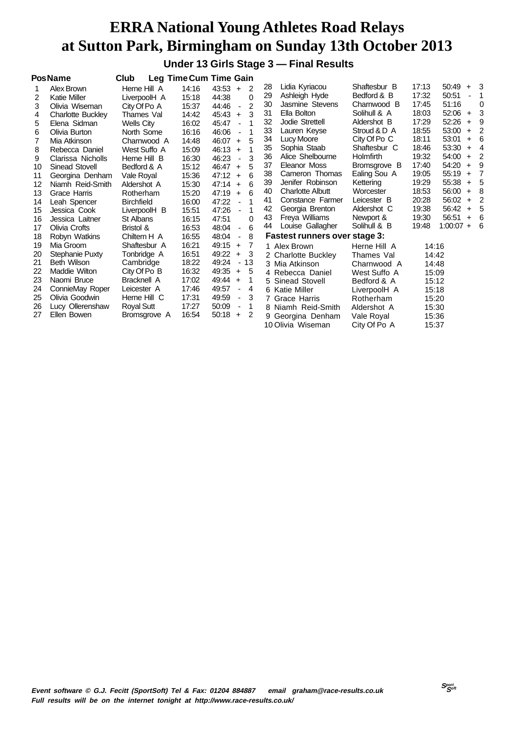**Under 13 Girls Stage 3 — Final Results**

|    | <b>PosName</b>           | Club               |       | <b>Leg Time Cum Time Gain</b>             |    |                               |                  |       |                    |                |
|----|--------------------------|--------------------|-------|-------------------------------------------|----|-------------------------------|------------------|-------|--------------------|----------------|
| 1  | Alex Brown               | Herne Hill A       | 14:16 | $43:53 +$<br>2                            | 28 | Lidia Kyriacou                | Shaftesbur B     | 17:13 | 50:49              | $+3$           |
| 2  | <b>Katie Miller</b>      | LiverpoolH A       | 15:18 | 44:38<br>$\Omega$                         | 29 | Ashleigh Hyde                 | Bedford & B      | 17:32 | 50:51              | 1              |
| 3  | Olivia Wiseman           | City Of Po A       | 15:37 | $\overline{2}$<br>44:46<br>$\blacksquare$ | 30 | Jasmine Stevens               | Charnwood B      | 17:45 | 51:16              | 0              |
| 4  | <b>Charlotte Buckley</b> | Thames Val         | 14:42 | 3<br>45:43<br>$+$                         | 31 | Ella Bolton                   | Solihull & A     | 18:03 | 52:06<br>$\ddot{}$ | 3              |
| 5  | Elena Sidman             | Wells City         | 16:02 | 45:47<br>1<br>$\blacksquare$              | 32 | Jodie Strettell               | Aldershot B      | 17:29 | 52:26<br>$\ddot{}$ | 9              |
| 6  | Olivia Burton            | North Some         | 16:16 | 46:06<br>1<br>$\blacksquare$              | 33 | Lauren Keyse                  | Stroud & D A     | 18:55 | 53:00<br>$+$       | $\overline{2}$ |
| 7  | Mia Atkinson             | Charnwood A        | 14:48 | 5<br>46:07<br>$\ddot{}$                   | 34 | Lucy Moore                    | City Of Po C     | 18:11 | 53:01<br>$\ddot{}$ | -6             |
| 8  | Rebecca Daniel           | West Suffo A       | 15:09 | 46:13<br>1<br>$+$                         | 35 | Sophia Staab                  | Shaftesbur C     | 18:46 | 53:30<br>$+$       | $\overline{4}$ |
| 9  | Clarissa Nicholls        | Herne Hill B       | 16:30 | 3<br>46:23<br>$\blacksquare$              | 36 | Alice Shelbourne              | <b>Holmfirth</b> | 19:32 | 54:00<br>$+$       | $\overline{2}$ |
| 10 | <b>Sinead Stovell</b>    | Bedford & A        | 15:12 | 5<br>$46:47 +$                            | 37 | Eleanor Moss                  | Bromsgrove B     | 17:40 | 54:20<br>$\ddot{}$ | -9             |
| 11 | Georgina Denham          | Vale Royal         | 15:36 | 6<br>47:12<br>$\ddot{}$                   | 38 | Cameron Thomas                | Ealing Sou A     | 19:05 | 55:19<br>$\ddot{}$ | - 7            |
| 12 | Niamh Reid-Smith         | Aldershot A        | 15:30 | 47:14<br>6<br>$+$                         | 39 | Jenifer Robinson              | Kettering        | 19:29 | 55:38<br>$\ddot{}$ | - 5            |
| 13 | Grace Harris             | Rotherham          | 15:20 | 6<br>47:19<br>$+$                         | 40 | <b>Charlotte Albutt</b>       | Worcester        | 18:53 | 56:00<br>$\ddot{}$ | -8             |
| 14 | Leah Spencer             | <b>Birchfield</b>  | 16:00 | 47:22<br>$\blacksquare$                   | 41 | Constance Farmer              | Leicester B      | 20:28 | 56:02<br>$+$       | 2              |
| 15 | Jessica Cook             | LiverpoolH B       | 15:51 | 47:26<br>1<br>÷,                          | 42 | Georgia Brenton               | Aldershot C      | 19:38 | 56:42<br>$\ddot{}$ | - 5            |
| 16 | Jessica Laitner          | St Albans          | 16:15 | 47:51<br>0                                | 43 | Freya Williams                | Newport &        | 19:30 | 56:51<br>$\ddot{}$ | - 6            |
| 17 | Olivia Crofts            | Bristol &          | 16:53 | 48:04<br>6<br>$\blacksquare$              | 44 | Louise Gallagher              | Solihull & B     | 19:48 | $1:00:07 + 6$      |                |
| 18 | Robyn Watkins            | Chiltern H A       | 16:55 | 48:04<br>8<br>$\overline{\phantom{a}}$    |    | Fastest runners over stage 3: |                  |       |                    |                |
| 19 | Mia Groom                | Shaftesbur A       | 16:21 | 49:15<br>7<br>$+$                         |    | 1 Alex Brown                  | Herne Hill A     | 14:16 |                    |                |
| 20 | Stephanie Puxty          | Tonbridge A        | 16:51 | 49:22<br>3<br>$\ddot{}$                   |    | 2 Charlotte Buckley           | Thames Val       | 14:42 |                    |                |
| 21 | <b>Beth Wilson</b>       | Cambridge          | 18:22 | 49:24<br>13<br>$\overline{\phantom{a}}$   |    | 3 Mia Atkinson                | Charnwood A      | 14:48 |                    |                |
| 22 | Maddie Wilton            | City Of Po B       | 16:32 | 49:35<br>5<br>$\ddot{}$                   |    | 4 Rebecca Daniel              | West Suffo A     | 15:09 |                    |                |
| 23 | Naomi Bruce              | <b>Bracknell A</b> | 17:02 | 49:44<br>1<br>$\ddot{}$                   |    | 5 Sinead Stovell              | Bedford & A      | 15:12 |                    |                |
| 24 | ConnieMay Roper          | Leicester A        | 17:46 | 49:57<br>4<br>$\overline{\phantom{a}}$    |    | 6 Katie Miller                | LiverpoolH A     | 15:18 |                    |                |
| 25 | Olivia Goodwin           | Herne Hill C       | 17:31 | 49:59<br>3<br>$\frac{1}{2}$               |    | 7 Grace Harris                | Rotherham        | 15:20 |                    |                |
| 26 | Lucy Ollerenshaw         | Royal Sutt         | 17:27 | 50:09<br>1<br>$\overline{\phantom{a}}$    |    | 8 Niamh Reid-Smith            | Aldershot A      | 15:30 |                    |                |
| 27 | Ellen Bowen              | Bromsgrove A       | 16:54 | 50:18<br>-2<br>$+$                        |    | 9 Georgina Denham             | Vale Royal       | 15:36 |                    |                |
|    |                          |                    |       |                                           |    | 10 Olivia Wiseman             | City Of Po A     | 15:37 |                    |                |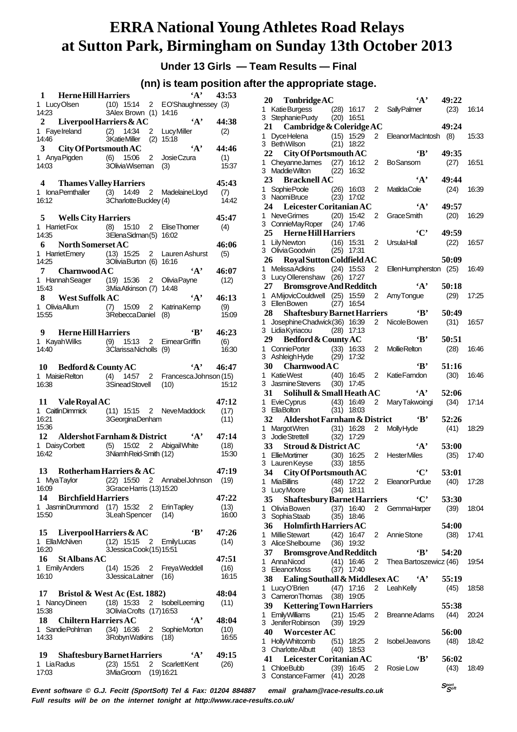**Under 13 Girls — Team Results — Final**

#### **(nn) is team position after the appropriate stage.**

|                                                      | 1 Herne Hill Harriers                                                                                                                     | $'A'$ 43:53   |
|------------------------------------------------------|-------------------------------------------------------------------------------------------------------------------------------------------|---------------|
|                                                      | 1 LucyOlsen (10) 15:14 2 EO'Shaughnessey (3)<br>14:23 3Alex Brown (1) 14:16<br>3Alex Brown (1) 14:16                                      |               |
|                                                      | A'<br>2 Liverpool Harriers & AC                                                                                                           | 44:38<br>(2)  |
|                                                      | 14:46<br>3 City Of Portsmouth AC<br>3 City Of Portsmouth AC<br>(A)                                                                        | 44:46         |
|                                                      | 1 Anya Pigden (6) 15:06 2 Josie Czura<br>14:03 3 3 3 3 Mixia Wiseman (3)                                                                  | (1)<br>15:37  |
| 4 Thames Valley Harriers                             |                                                                                                                                           | 45:43         |
| 16:12                                                | 1 IonaPemthaller (3) 14:49 2 MadelaineLloyd (7)<br>16:12 14:42 3CharlotteBuckley (4) 14:42<br>3CharlotteBuckley (4)                       | 14:42         |
| 5 Wells City Harriers                                |                                                                                                                                           | 45:47         |
| 14:35                                                | 1 Harriet Fox (8) 15:10 2 Elise Thomer<br>3ElenaSidman(5) 16:02                                                                           | (4)           |
| 6 North Somerset AC                                  |                                                                                                                                           | 46:06         |
| 14:25                                                | 1 HarrietEmery (13) 15:25 2 Lauren Ashurst<br>14:25 3OliviaBurton (6) 16:16<br>3OliviaBurton (6) 16:16                                    | (5)           |
| 7 Charnwood A C                                      | $\mathbf{A}$ ,                                                                                                                            | 46:07<br>(12) |
|                                                      | 1 Hannah Seager (19) 15:36 2 Olivia Payne<br>15:43 3 Mia Atkinson (7) 14:48<br>3MiaAtkinson (7) 14:48                                     |               |
| 8 West Suffolk AC                                    | $\mathbf{A}$                                                                                                                              | 46:13         |
| 15:55                                                | 1 OliviaAllum (7) 15:09 2 KatrinaKemp<br>15:55 3RebeccaDaniel (8)<br>3RebeccaDaniel (8)                                                   | (9)<br>15:09  |
| 9 Herne Hill Harriers                                | $\mathbf{B}^*$                                                                                                                            | 46:23         |
|                                                      | 1 Kayah Wilks (9) 15:13 2 Eimear Griffin<br>14:40 3 Clarissa Nicholls (9)<br>3ClarissaNicholls (9)                                        | (6)<br>16:30  |
|                                                      | $A' = 46:47$                                                                                                                              |               |
|                                                      | 10 Bedford & County AC  43 1 Maisie Relton (4) 14:57 2 Francesca Johnson (15)<br>16:38 3 Sinead Stovell (10) 15:12<br>3SineadStovell (10) | 15:12         |
| 11 Vale Royal AC                                     |                                                                                                                                           | 47:12         |
| 16:21                                                | 3GeorginaDenham                                                                                                                           | (17)<br>(11)  |
|                                                      |                                                                                                                                           |               |
| 15:36                                                | 12 Aldershot Farnham & District 'A'                                                                                                       | 47:14         |
|                                                      |                                                                                                                                           | (18)          |
|                                                      | 1 DaisyCorbett (5) 15:02 2 Abigail White<br>16:42 3Niamh Reid-Smith (12)                                                                  | 15:30         |
| 13 Rotherham Harriers & AC                           |                                                                                                                                           | 47:19         |
| 1 MyaTaylor<br>16:09                                 | (22) 15:50 2 Annabel Johnson (19)<br>3Grace Harris (13)15:20                                                                              |               |
| 14<br><b>Birchfield Harriers</b>                     |                                                                                                                                           | 47:22         |
| 1 JasminDrummond<br>15:50                            | (17) 15:32 2 ErinTapley<br>3Leah Spencer (14)                                                                                             | (13)<br>16:00 |
| 15                                                   | 'R'                                                                                                                                       |               |
| 1 EllaMcNiven<br>16:20                               | Liverpool Harriers $&AC$<br>(12) 15:15 2 EmilyLucas                                                                                       | 47:26<br>(14) |
| 16<br><b>StAlbansAC</b>                              | 3JessicaCook(15)15:51                                                                                                                     | 47:51         |
| 1 Emily Anders<br>16:10                              | (14) 15:26 2 FreyaWeddell<br>3JessicaLaitner (16)                                                                                         | (16)<br>16:15 |
| 17 Bristol & West Ac (Est. 1882)                     |                                                                                                                                           | 48:04         |
| 1 Nancy Dineen                                       | (18) 15:33 2 IsobelLeeming                                                                                                                | (11)          |
| 15:38                                                | 3OliviaCrofts (17)16:53<br>$\mathbf{A}$                                                                                                   | 48:04         |
| 18 Chiltern Harriers AC<br>1 Sandie Pohlman<br>14:33 | (34) 16:36 2 SophieMorton<br>3RobynWatkins (18)                                                                                           | (10)<br>16:55 |
| 19 Shaftesbury Barnet Harriers<br>1 LiaRadus         | $\mathbf{A}$<br>(23) 15:51 2 ScarlettKent                                                                                                 | 49:15<br>(26) |

|    | 20<br>TonbridgeAC                                              |      |                |                | $\mathbf{A}$              | 49:22                          |       |
|----|----------------------------------------------------------------|------|----------------|----------------|---------------------------|--------------------------------|-------|
|    | 1 KatieBurgess<br>3 Stephanie Puxty (20) 16:51                 |      | $(28)$ 16:17   |                | 2 Sally Palmer            | (23)                           | 16:14 |
|    | 21 Cambridge & Coleridge AC                                    |      |                |                |                           | 49:24                          |       |
| 1. | DyceHelena (15) 15:29<br>BethWilson (21) 18:22<br>3 BethWilson |      | $(21)$ 18:22   | 2              | EleanorMacIntosh (8)      |                                | 15:33 |
|    | 22 City Of Portsmouth AC                                       |      |                |                | ʻВ'                       | 49:35                          |       |
|    | 1 CheyanneJames (27) 16:12                                     |      |                | 2              | <b>BoSansom</b>           | (27)                           | 16:51 |
|    | 3 Maddie Wilton                                                | (22) | 16:32          |                |                           |                                |       |
|    | 23 Bracknell AC                                                |      |                |                | $\mathbf{A}$              | 49:44                          |       |
|    | 1 SophiePoole (26) 16:03<br>3 NaomiBruce (23) 17:02            |      |                | 2              | <b>MatildaCole</b>        | (24)                           | 16:39 |
|    | 24 Leicester Coritanian AC                                     |      |                |                | $\cdot_A$ ,               | 49:57                          |       |
|    | 1 NeveGrimes                                                   |      | $(20)$ 15:42   | 2              | Grace Smith               | (20)                           | 16:29 |
|    | 3 ConnieMayRoper (24) 17:46                                    |      |                |                |                           |                                |       |
|    | 25 Herne Hill Harriers                                         |      |                |                | $\cdot$ C'                | 49:59                          |       |
|    | 1 Lily Newton<br>$(16)$ 15:31<br>3 Olivia Goodwin (25) 17:31   |      |                | 2              | UrsulaHall                | (22)                           | 16:57 |
|    | Royal Sutton Coldfield AC<br>26                                |      |                |                |                           | 50:09                          |       |
|    | 1 Melissa Adkins                                               |      | $(24)$ 15:53   | $\overline{2}$ | EllenHumpherston (25)     |                                | 16:49 |
|    | 3 Lucy Ollerenshaw (26) 17:27                                  |      |                |                |                           |                                |       |
|    | 27<br><b>Bromsgrove And Redditch</b>                           |      |                |                | $\mathbf{A}$ ,            | 50:18                          |       |
|    | 1 AMijovicCouldwell (25) 15:59<br>3 Ellen Bowen                |      | $(27)$ 16:54   | 2              | Amy Tongue                | (29)                           | 17:25 |
|    | 28                                                             |      |                |                |                           | 50:49                          |       |
|    | 1 Josephine Chadwick (36) 16:39                                |      |                | 2              | Nicole Bowen              | (31)                           | 16:57 |
|    | 3 LidiaKyriacou (28) 17:13                                     |      |                |                |                           |                                |       |
|    | 29<br>Bedford & County AC                                      |      |                |                | 'B'                       | 50:51                          |       |
|    | 1 Connie Porter (33)                                           |      | 16:33          | 2              | <b>Mollie Relton</b>      | (28)                           | 16:46 |
|    | 3 Ashleigh Hyde<br>30 Charnwood A C                            | (29) | 17:32          |                | 'B'                       | 51:16                          |       |
|    | 1 Katie West                                                   |      | $(40)$ 16:45   | $\overline{2}$ | Katie Farndon             | (30)                           | 16:46 |
|    | 3 Jasmine Stevens (30) 17:45                                   |      |                |                |                           |                                |       |
|    | 31<br>Solihull & Small Heath AC                                |      |                |                | $\mathbf{A}$              | 52:06                          |       |
| 1. | EvieCyprus (43) 16:49<br>FllaBolton (31) 18:03                 |      |                | $\overline{2}$ | Mary Takwoingi            | (34)                           | 17:14 |
|    | 3 EllaBolton<br>32 Aldershot Farnham & District                |      | $(31)$ 18:03   |                | $\mathbf{B}$              | 52:26                          |       |
|    | 1 Margot Wren (31) 16:28                                       |      |                | 2              | <b>Molly Hyde</b>         | (41)                           | 18:29 |
|    | 3 Jodie Strettell (32)                                         |      | 17:29          |                |                           |                                |       |
|    | 33 Stroud & District AC                                        |      |                |                | $\mathbf{A}$              | 53:00                          |       |
|    | 1 EllieMortimer (30) 16:25                                     |      |                | $\overline{2}$ | HesterMiles               | (35)                           | 17:40 |
|    | 3 Lauren Keyse (33) 18:55<br>34 City Of Portsmouth AC          |      |                |                | $\mathbf{C}^{\bullet}$    | 53:01                          |       |
|    | 1 Mia Billins (48) 17:22                                       |      |                |                | 2 EleanorPurdue (40)      |                                | 17:28 |
|    | 3 LucyMoore                                                    |      | $(34)$ 18:11   |                |                           |                                |       |
|    | <b>Shaftesbury Barnet Harriers</b><br>35                       |      |                |                | $\mathbf{C}$              | 53:30                          |       |
|    | 1 Olivia Bowen<br>3 Sophia Staab                               |      | $(35)$ 18:46   |                | (37) 16:40 2 Gemma Harper | (39)                           | 18:04 |
|    | 36<br><b>Holmfirth Harriers AC</b>                             |      |                |                |                           | 54:00                          |       |
|    | 1 Millie Stewart                                               |      |                |                | (42) 16:47 2 Annie Stone  | (38)                           | 17:41 |
|    | 3 Alice Shelbourne                                             |      | $(36)$ 19:32   |                |                           |                                |       |
|    | 37<br><b>Bromsgrove And Redditch</b>                           |      |                |                | $\mathbf{R}$              | 54:20                          |       |
|    | 1 AnnaNicod<br>3 EleanorMoss                                   |      | $(41)$ 16:46   |                | 2 Thea Bartoszewicz (46)  |                                | 19:54 |
|    | 38 Ealing Southall & Middlesex AC $A'$                         |      | $(37)$ 17:40   |                |                           | 55:19                          |       |
|    | 1 LucyO'Brien                                                  |      |                |                | (47) 17:16 2 LeahKelly    | (45)                           | 18:58 |
|    | 3 Cameron Thomas (38) 19:05                                    |      |                |                |                           |                                |       |
|    | 39 F<br><b>Kettering Town Harriers</b>                         |      |                |                |                           | 55:38                          |       |
|    | 1 Emily Williams                                               |      | $(21)$ 15:45   |                | 2 Breanne Adams           | (44)                           | 20:24 |
|    | 3 JeniferRobinson<br>40 Worcester AC                           |      | $(39)$ 19:29   |                |                           | 56:00                          |       |
|    | 1 Holly Whitcomb                                               |      | $(51)$ 18:25 2 |                | <b>Isobel Jeavons</b>     | (48)                           | 18:42 |
|    | 3 Charlotte Albutt                                             |      | $(40)$ 18:53   |                |                           |                                |       |
|    | 41 Leicester Coritanian AC                                     |      |                |                | 'В'                       | 56:02                          |       |
|    | 1 ChloeBubb                                                    |      | $(39)$ 16:45   |                | 2 Rosie Low               | (43)                           | 18:49 |
|    | 3 Constance Farmer (41) 20:28                                  |      |                |                |                           |                                |       |
|    | email araham@race-results.co.uk                                |      |                |                |                           | $S_{\mathcal{S}^{opt}}^{port}$ |       |

**Event software © G.J. Fecitt (SportSoft) Tel & Fax: 01204 884887 email graham@race-results.co.uk Full results will be on the internet tonight at http://www.race-results.co.uk/**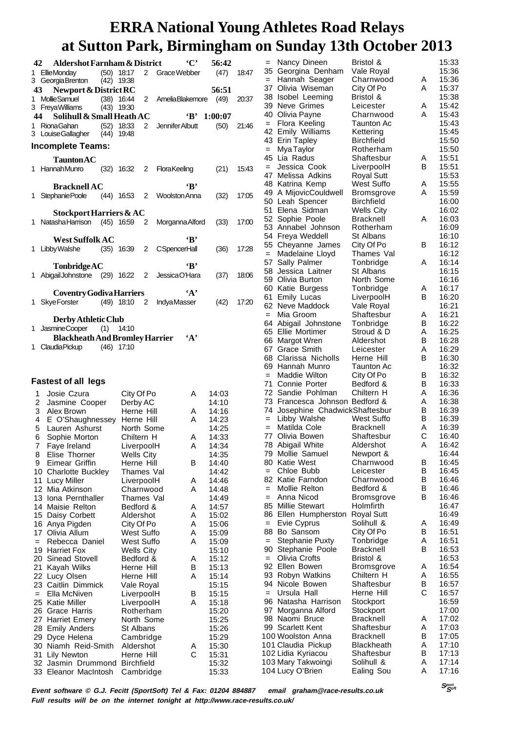|        | 42<br><b>Aldershot Farnham &amp; District</b>      |                                |                |                            | $\mathbf{C}$ | 56:42          |       |
|--------|----------------------------------------------------|--------------------------------|----------------|----------------------------|--------------|----------------|-------|
|        | 1 EllieMonday<br>3 GeorgiaBrenton (42) 19:38       | $(50)$ 18:17                   |                | 2 Grace Webber             |              | (47)           | 18:47 |
|        | 43 Newport & District RC                           |                                |                |                            |              | 56:51          |       |
| 1.     | <b>MollieSamuel</b>                                | $(38)$ 16:44                   |                | 2 AmeliaBlakemore          |              | (49)           | 20:37 |
|        | 3 FreyaWilliams<br>44<br>Solihull & Small Heath AC | $(43)$ 19:30                   |                |                            | 'В'          | 1:00:07        |       |
|        | 1 RionaGahan                                       | $(52)$ 18:33                   | $\overline{2}$ | Jennifer Albutt            |              | (50)           | 21:46 |
|        | 3 Louise Gallagher (44)                            | 19:48                          |                |                            |              |                |       |
|        | <b>Incomplete Teams:</b>                           |                                |                |                            |              |                |       |
|        | Taunton AC                                         |                                |                |                            |              |                |       |
|        | 1 Hannah Munro                                     | $(32)$ 16:32 2                 |                | FloraKeeling               |              | (21)           | 15:43 |
|        | <b>Bracknell AC</b>                                |                                |                |                            | ٠R'          |                |       |
|        | 1 Stephanie Poole                                  |                                |                | (44) 16:53 2 Woolston Anna |              | (32)           | 17:05 |
|        | Stockport Harriers & AC                            |                                |                |                            |              |                |       |
|        | 1 Natasha Harrison (45) 16:59 2                    |                                |                | Morganna Alford            |              | (33)           | 17:00 |
|        |                                                    |                                |                |                            |              |                |       |
|        | <b>West Suffolk AC</b><br>1 Libby Walshe           | $(35)$ 16:39 2                 |                | <b>CSpencerHall</b>        | ٠R,          |                | 17:28 |
|        |                                                    |                                |                |                            |              | (36)           |       |
|        | <b>Tonbridge AC</b>                                |                                |                |                            | ٠R,          |                |       |
|        | 1 Abigail Johnstone (29) 16:22 2                   |                                |                | JessicaO'Hara              |              | (37)           | 18:06 |
|        | <b>Coventry Godiva Harriers</b>                    |                                |                |                            | $\cdot_A$ ,  |                |       |
| 1.     | Skye Forster                                       | $(49)$ 18:10 2                 |                | <b>IndvaMasser</b>         |              | (42)           | 17:20 |
|        | Derby Athletic Club                                |                                |                |                            |              |                |       |
|        | 1 JasmineCooper (1) 14:10                          |                                |                |                            |              |                |       |
|        | <b>Blackheath And Bromley Harrier</b>              |                                |                |                            | ٠д,          |                |       |
| 1      | Claudia Pickup (46) 17:10                          |                                |                |                            |              |                |       |
|        |                                                    |                                |                |                            |              |                |       |
|        | <b>Fastest of all legs</b>                         |                                |                |                            |              |                |       |
| 1      | Josie Czura                                        | City Of Po                     |                |                            | A            | 14:03          |       |
|        | 2<br>Jasmine Cooper                                | Derby AC                       |                |                            |              | 14:10          |       |
|        | 3 Alex Brown                                       | Herne Hill                     |                |                            | A            | 14:16          |       |
|        | 4 E O'Shaughnessey                                 | Herne Hill                     |                |                            | A            | 14:23          |       |
| 5<br>6 | Lauren Ashurst<br>Sophie Morton                    | North Some<br>Chiltern H       |                |                            | A            | 14:25<br>14:33 |       |
| L      | Faye Ireland                                       | LiverpoolH                     |                |                            | Α            | 14:34          |       |
| 8      | Elise Thorner                                      | <b>Wells City</b>              |                |                            |              | 14:35          |       |
| 9      | Eimear Griffin                                     | Herne Hill                     |                |                            | в            | 14:40          |       |
|        | 10 Charlotte Buckley<br>11 Lucy Miller             | Thames Val<br>LiverpoolH       |                |                            | A            | 14:42<br>14:46 |       |
|        | 12 Mia Atkinson                                    | Charnwood                      |                |                            | A            | 14:48          |       |
|        | 13 Iona Pernthaller                                | Thames Val                     |                |                            |              | 14:49          |       |
|        | 14 Maisie Relton                                   | Bedford &                      |                |                            | A            | 14:57          |       |
|        | 15 Daisy Corbett<br>16 Anya Pigden                 | Aldershot<br>City Of Po        |                |                            | A<br>А       | 15:02<br>15:06 |       |
|        | 17<br>Olivia Allum                                 | <b>West Suffo</b>              |                |                            | A            | 15:09          |       |
| $=$    | Rebecca Daniel                                     | West Suffo                     |                |                            | A            | 15:09          |       |
|        | 19 Harriet Fox<br>Sinead Stovell<br>20             | <b>Wells City</b><br>Bedford & |                |                            | Α            | 15:10<br>15:12 |       |
|        | 21<br>Kayah Wilks                                  | Herne Hill                     |                |                            | В            | 15:13          |       |
|        | 22 Lucy Olsen                                      | Herne Hill                     |                |                            | А            | 15:14          |       |
|        | Caitlin Dimmick<br>23.                             | Vale Royal                     |                |                            |              | 15:15          |       |
| $=$    | Ella McNiven<br>25 Katie Miller                    | LiverpoolH<br>LiverpoolH       |                |                            | В<br>A       | 15:15<br>15:18 |       |

26 Grace Harris Rotherham 15:20<br>27 Harriet Emery North Some 15:25 27 Harriet Emery North Some 15:25<br>28 Emily Anders St Albans 15:26 28 Emily Anders St Albans 15:26<br>29 Dyce Helena Cambridge 15:29

30 Niamh Reid-Smith Aldershot A 15:30

32 Jasmin Drummond Birchfield 15:32<br>33 Eleanor MacIntosh Cambridge 15:33

29 Dyce Helena Cambridge

33 Eleanor MacIntosh Cambridge

31 Lilv Newton

|     | $\mathbf{r}$ denoted         | ∼<br>щ.           | $\mathbf v$ |       |
|-----|------------------------------|-------------------|-------------|-------|
| $=$ | Nancy Dineen                 | Bristol &         |             | 15:33 |
|     | 35 Georgina Denham           | Vale Royal        |             | 15:36 |
| $=$ | Hannah Seager                | Charnwood         | A           | 15:36 |
| 37  | Olivia Wiseman               | City Of Po        | Α           | 15:37 |
|     | 38 Isobel Leeming            | Bristol &         |             | 15:38 |
|     |                              |                   | A           | 15:42 |
| 39  | Neve Grimes                  | Leicester         |             |       |
| 40  | Olivia Payne                 | Charnwood         | Α           | 15:43 |
| $=$ | Flora Keeling                | Taunton Ac        |             | 15:43 |
| 42  | Emily Williams               | Kettering         |             | 15:45 |
| 43  | Erin Tapley                  | <b>Birchfield</b> |             | 15:50 |
| $=$ | Mya Taylor                   | Rotherham         |             | 15:50 |
| 45  | Lia Radus                    | Shaftesbur        | A           | 15:51 |
| $=$ | Jessica Cook                 | LiverpoolH        | В           | 15:51 |
| 47  | Melissa Adkins               | <b>Royal Sutt</b> |             | 15:53 |
| 48  | Katrina Kemp                 | <b>West Suffo</b> | A           | 15:55 |
| 49  | A MijovicCouldwell           | Bromsgrove        | А           | 15:59 |
| 50  | Leah Spencer                 | <b>Birchfield</b> |             | 16:00 |
| 51  | Elena Sidman                 | <b>Wells City</b> |             | 16:02 |
| 52  | Sophie Poole                 | Bracknell         | А           | 16:03 |
|     | 53 Annabel Johnson           | Rotherham         |             | 16:09 |
|     | 54 Freya Weddell             | St Albans         |             | 16:10 |
| 55  |                              | City Of Po        | в           | 16:12 |
|     | Cheyanne James               |                   |             |       |
| $=$ | Madelaine Lloyd              | Thames Val        |             | 16:12 |
| 57  | Sally Palmer                 | Tonbridge         | Α           | 16:14 |
| 58  | Jessica Laitner              | St Albans         |             | 16:15 |
|     | 59 Olivia Burton             | North Some        |             | 16:16 |
| 60  | Katie Burgess                | Tonbridge         | A           | 16:17 |
| 61  | <b>Emily Lucas</b>           | LiverpoolH        | В           | 16:20 |
| 62. | Neve Maddock                 | Vale Royal        |             | 16:21 |
| $=$ | Mia Groom                    | Shaftesbur        | Α           | 16:21 |
| 64  | Abigail Johnstone            | Tonbridge         | В           | 16:22 |
|     | 65 Ellie Mortimer            | Stroud & D        | A           | 16:25 |
| 66  | Margot Wren                  | Aldershot         | B           | 16:28 |
| 67  | <b>Grace Smith</b>           | Leicester         | Α           | 16:29 |
| 68  | Clarissa Nicholls            | Herne Hill        | в           | 16:30 |
| 69  | Hannah Munro                 | Taunton Ac        |             | 16:32 |
| $=$ | Maddie Wilton                | City Of Po        | в           | 16:32 |
| 71  | Connie Porter                | Bedford &         | В           | 16:33 |
| 72  | Sandie Pohlman               | Chiltern H        | A           | 16:36 |
| 73  | Francesca Johnson Bedford &  |                   | A           | 16:38 |
| 74  | Josephine ChadwickShaftesbur |                   | в           |       |
|     |                              |                   |             | 16:39 |
| $=$ | Libby Walshe                 | <b>West Suffo</b> | В           | 16:39 |
| $=$ | Matilda Cole                 | <b>Bracknell</b>  | Α           | 16:39 |
| 77  | Olivia Bowen                 | Shaftesbur        | C           | 16:40 |
| 78  | Abigail White                | Aldershot         | A           | 16:42 |
| 79  | Mollie Samuel                | Newport &         |             | 16:44 |
| 80  | <b>Katie West</b>            | Charnwood         | в           | 16:45 |
| $=$ | Chloe Bubb                   | Leicester         | в           | 16:45 |
| 82  | Katie Farndon                | Charnwood         | в           | 16:46 |
| $=$ | Mollie Relton                | Bedford &         | B           | 16:46 |
| $=$ | Anna Nicod                   | Bromsgrove        | в           | 16:46 |
| 85  | <b>Millie Stewart</b>        | Holmfirth         |             | 16:47 |
| 86  | Ellen Humpherston            | <b>Royal Sutt</b> |             | 16:49 |
| $=$ | Evie Cyprus                  | Solihull &        | Α           | 16:49 |
| 88  | Bo Sansom                    | City Of Po        | В           | 16:51 |
| $=$ | <b>Stephanie Puxty</b>       | Tonbridge         | Α           | 16:51 |
| 90  | Stephanie Poole              | Bracknell         | B           | 16:53 |
| $=$ | Olivia Crofts                | Bristol &         |             | 16:53 |
|     | 92 Ellen Bowen               | Bromsgrove        | Α           | 16:54 |
|     | 93 Robyn Watkins             | Chiltern H        | A           | 16:55 |
| 94  | Nicole Bowen                 | Shaftesbur        | B           | 16:57 |
|     | Ursula Hall                  | Herne Hill        | С           |       |
| $=$ |                              |                   |             | 16:57 |
| 96  | Natasha Harrison             | Stockport         |             | 16:59 |
| 97  | Morganna Alford              | Stockport         |             | 17:00 |
| 98  | Naomi Bruce                  | <b>Bracknell</b>  | A           | 17:02 |
|     | 99 Scarlett Kent             | Shaftesbur        | A           | 17:03 |
|     | 100 Woolston Anna            | Bracknell         | B           | 17:05 |
|     | 101 Claudia Pickup           | <b>Blackheath</b> | A           | 17:10 |
|     | 102 Lidia Kyriacou           | Shaftesbur        | B           | 17:13 |
|     | 103 Mary Takwoingi           | Solihull &        | A           | 17:14 |
|     | 104 Lucy O'Brien             | Ealing Sou        | А           | 17:16 |

**Event software © G.J. Fecitt (SportSoft) Tel & Fax: 01204 884887 email graham@race-results.co.uk Full results will be on the internet tonight at http://www.race-results.co.uk/**